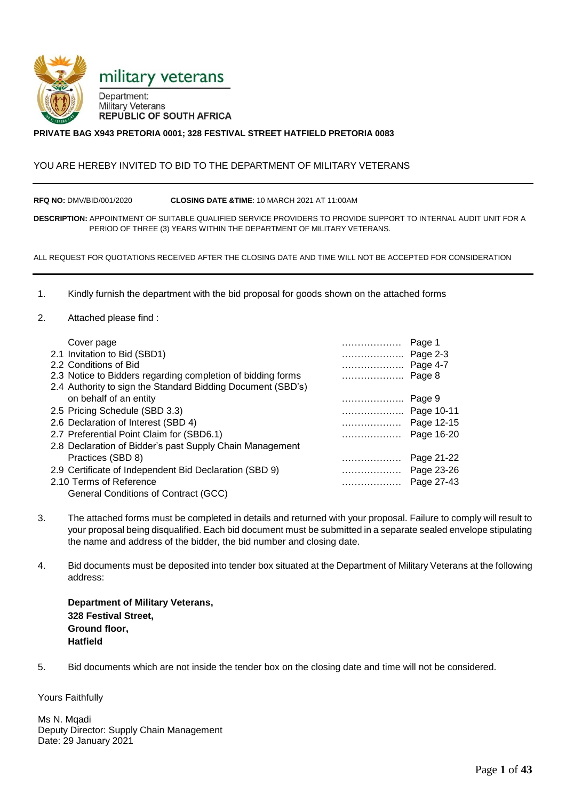

#### **PRIVATE BAG X943 PRETORIA 0001; 328 FESTIVAL STREET HATFIELD PRETORIA 0083**

#### YOU ARE HEREBY INVITED TO BID TO THE DEPARTMENT OF MILITARY VETERANS

**RFQ NO:** DMV/BID/001/2020 **CLOSING DATE &TIME**: 10 MARCH 2021 AT 11:00AM

**DESCRIPTION:** APPOINTMENT OF SUITABLE QUALIFIED SERVICE PROVIDERS TO PROVIDE SUPPORT TO INTERNAL AUDIT UNIT FOR A PERIOD OF THREE (3) YEARS WITHIN THE DEPARTMENT OF MILITARY VETERANS.

ALL REQUEST FOR QUOTATIONS RECEIVED AFTER THE CLOSING DATE AND TIME WILL NOT BE ACCEPTED FOR CONSIDERATION

1. Kindly furnish the department with the bid proposal for goods shown on the attached forms

#### 2. Attached please find :

| Cover page                                                  | .          | Page 1     |
|-------------------------------------------------------------|------------|------------|
| 2.1 Invitation to Bid (SBD1)                                | Page 2-3   |            |
| 2.2 Conditions of Bid                                       | Page 4-7   |            |
| 2.3 Notice to Bidders regarding completion of bidding forms |            | Page 8     |
| 2.4 Authority to sign the Standard Bidding Document (SBD's) |            |            |
| on behalf of an entity                                      |            | Page 9     |
| 2.5 Pricing Schedule (SBD 3.3)                              | Page 10-11 |            |
| 2.6 Declaration of Interest (SBD 4)                         | Page 12-15 |            |
| 2.7 Preferential Point Claim for (SBD6.1)                   | .          | Page 16-20 |
| 2.8 Declaration of Bidder's past Supply Chain Management    |            |            |
| Practices (SBD 8)                                           | .          | Page 21-22 |
| 2.9 Certificate of Independent Bid Declaration (SBD 9)      | Page 23-26 |            |
| 2.10 Terms of Reference                                     | .          | Page 27-43 |
| General Conditions of Contract (GCC)                        |            |            |

- 3. The attached forms must be completed in details and returned with your proposal. Failure to comply will result to your proposal being disqualified. Each bid document must be submitted in a separate sealed envelope stipulating the name and address of the bidder, the bid number and closing date.
- 4. Bid documents must be deposited into tender box situated at the Department of Military Veterans at the following address:

**Department of Military Veterans, 328 Festival Street, Ground floor, Hatfield**

5. Bid documents which are not inside the tender box on the closing date and time will not be considered.

Yours Faithfully

Ms N. Mqadi Deputy Director: Supply Chain Management Date: 29 January 2021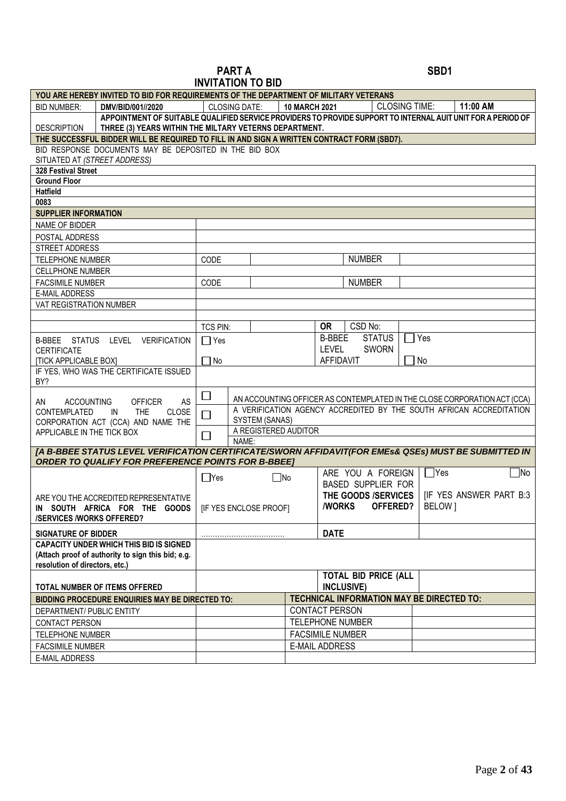#### **PART A** SBD1 **INVITATION TO BID**

|                                                                                                      |                 | <b>INVITATION TO DID</b>                                                 |                         |                  |                                                  |            |                                                                                                              |
|------------------------------------------------------------------------------------------------------|-----------------|--------------------------------------------------------------------------|-------------------------|------------------|--------------------------------------------------|------------|--------------------------------------------------------------------------------------------------------------|
| YOU ARE HEREBY INVITED TO BID FOR REQUIREMENTS OF THE DEPARTMENT OF MILITARY VETERANS                |                 |                                                                          |                         |                  |                                                  |            |                                                                                                              |
| <b>BID NUMBER:</b><br>DMV/BID/001//2020                                                              |                 | <b>CLOSING DATE:</b>                                                     | <b>10 MARCH 2021</b>    |                  | <b>CLOSING TIME:</b>                             |            | 11:00 AM                                                                                                     |
| <b>DESCRIPTION</b><br>THREE (3) YEARS WITHIN THE MILTARY VETERNS DEPARTMENT.                         |                 |                                                                          |                         |                  |                                                  |            | APPOINTMENT OF SUITABLE QUALIFIED SERVICE PROVIDERS TO PROVIDE SUPPORT TO INTERNAL AUIT UNIT FOR A PERIOD OF |
| THE SUCCESSFUL BIDDER WILL BE REQUIRED TO FILL IN AND SIGN A WRITTEN CONTRACT FORM (SBD7).           |                 |                                                                          |                         |                  |                                                  |            |                                                                                                              |
| BID RESPONSE DOCUMENTS MAY BE DEPOSITED IN THE BID BOX                                               |                 |                                                                          |                         |                  |                                                  |            |                                                                                                              |
| SITUATED AT (STREET ADDRESS)                                                                         |                 |                                                                          |                         |                  |                                                  |            |                                                                                                              |
| 328 Festival Street                                                                                  |                 |                                                                          |                         |                  |                                                  |            |                                                                                                              |
| <b>Ground Floor</b>                                                                                  |                 |                                                                          |                         |                  |                                                  |            |                                                                                                              |
| <b>Hatfield</b>                                                                                      |                 |                                                                          |                         |                  |                                                  |            |                                                                                                              |
| 0083                                                                                                 |                 |                                                                          |                         |                  |                                                  |            |                                                                                                              |
| <b>SUPPLIER INFORMATION</b>                                                                          |                 |                                                                          |                         |                  |                                                  |            |                                                                                                              |
| NAME OF BIDDER                                                                                       |                 |                                                                          |                         |                  |                                                  |            |                                                                                                              |
| POSTAL ADDRESS                                                                                       |                 |                                                                          |                         |                  |                                                  |            |                                                                                                              |
| STREET ADDRESS                                                                                       |                 |                                                                          |                         |                  |                                                  |            |                                                                                                              |
| <b>TELEPHONE NUMBER</b>                                                                              | CODE            |                                                                          |                         |                  | <b>NUMBER</b>                                    |            |                                                                                                              |
| <b>CELLPHONE NUMBER</b>                                                                              |                 |                                                                          |                         |                  |                                                  |            |                                                                                                              |
| <b>FACSIMILE NUMBER</b>                                                                              | CODE            |                                                                          |                         |                  | <b>NUMBER</b>                                    |            |                                                                                                              |
| <b>E-MAIL ADDRESS</b>                                                                                |                 |                                                                          |                         |                  |                                                  |            |                                                                                                              |
| VAT REGISTRATION NUMBER                                                                              |                 |                                                                          |                         |                  |                                                  |            |                                                                                                              |
|                                                                                                      |                 |                                                                          |                         |                  |                                                  |            |                                                                                                              |
|                                                                                                      | <b>TCS PIN:</b> |                                                                          |                         | <b>OR</b>        | CSD No:                                          |            |                                                                                                              |
| B-BBEE STATUS LEVEL VERIFICATION                                                                     | $\Box$ Yes      |                                                                          |                         | <b>B-BBEE</b>    | <b>STATUS</b>                                    | $\Box$ Yes |                                                                                                              |
| <b>CERTIFICATE</b>                                                                                   |                 |                                                                          |                         | <b>LEVEL</b>     | <b>SWORN</b>                                     |            |                                                                                                              |
| <b>[TICK APPLICABLE BOX]</b>                                                                         | $\Box$ No       |                                                                          |                         | <b>AFFIDAVIT</b> |                                                  |            | No                                                                                                           |
| IF YES, WHO WAS THE CERTIFICATE ISSUED                                                               |                 |                                                                          |                         |                  |                                                  |            |                                                                                                              |
| BY?                                                                                                  |                 |                                                                          |                         |                  |                                                  |            |                                                                                                              |
|                                                                                                      | $\Box$          | AN ACCOUNTING OFFICER AS CONTEMPLATED IN THE CLOSE CORPORATION ACT (CCA) |                         |                  |                                                  |            |                                                                                                              |
| AS<br><b>ACCOUNTING</b><br><b>OFFICER</b><br>AN<br><b>THE</b><br>CLOSE<br>CONTEMPLATED<br>IN         |                 | A VERIFICATION AGENCY ACCREDITED BY THE SOUTH AFRICAN ACCREDITATION      |                         |                  |                                                  |            |                                                                                                              |
| CORPORATION ACT (CCA) AND NAME THE                                                                   | SYSTEM (SANAS)  |                                                                          |                         |                  |                                                  |            |                                                                                                              |
| APPLICABLE IN THE TICK BOX                                                                           |                 | A REGISTERED AUDITOR                                                     |                         |                  |                                                  |            |                                                                                                              |
|                                                                                                      | NAME:           |                                                                          |                         |                  |                                                  |            |                                                                                                              |
| [A B-BBEE STATUS LEVEL VERIFICATION CERTIFICATE/SWORN AFFIDAVIT(FOR EMES& QSES) MUST BE SUBMITTED IN |                 |                                                                          |                         |                  |                                                  |            |                                                                                                              |
| <b>ORDER TO QUALIFY FOR PREFERENCE POINTS FOR B-BBEET</b>                                            |                 |                                                                          |                         |                  |                                                  |            |                                                                                                              |
|                                                                                                      | $\Box$ Yes      | $\Box$ No                                                                |                         |                  | ARE YOU A FOREIGN                                |            | $\Box$ Yes<br>$\Box$ No                                                                                      |
|                                                                                                      |                 |                                                                          |                         |                  | <b>BASED SUPPLIER FOR</b>                        |            |                                                                                                              |
| ARE YOU THE ACCREDITED REPRESENTATIVE                                                                |                 |                                                                          |                         |                  | THE GOODS /SERVICES                              |            | <b>IF YES ANSWER PART B:3</b>                                                                                |
| IN SOUTH AFRICA FOR THE GOODS   [IF YES ENCLOSE PROOF]                                               |                 |                                                                          |                         | <b>/WORKS</b>    | OFFERED?                                         |            | BELOW]                                                                                                       |
| <b>/SERVICES /WORKS OFFERED?</b>                                                                     |                 |                                                                          |                         |                  |                                                  |            |                                                                                                              |
| <b>SIGNATURE OF BIDDER</b>                                                                           |                 |                                                                          |                         | <b>DATE</b>      |                                                  |            |                                                                                                              |
| <b>CAPACITY UNDER WHICH THIS BID IS SIGNED</b>                                                       |                 |                                                                          |                         |                  |                                                  |            |                                                                                                              |
| (Attach proof of authority to sign this bid; e.g.                                                    |                 |                                                                          |                         |                  |                                                  |            |                                                                                                              |
| resolution of directors, etc.)                                                                       |                 |                                                                          |                         |                  |                                                  |            |                                                                                                              |
| TOTAL NUMBER OF ITEMS OFFERED                                                                        |                 |                                                                          |                         |                  | <b>TOTAL BID PRICE (ALL</b><br><b>INCLUSIVE)</b> |            |                                                                                                              |
| TECHNICAL INFORMATION MAY BE DIRECTED TO:<br>BIDDING PROCEDURE ENQUIRIES MAY BE DIRECTED TO:         |                 |                                                                          |                         |                  |                                                  |            |                                                                                                              |
| DEPARTMENT/ PUBLIC ENTITY                                                                            |                 |                                                                          | <b>CONTACT PERSON</b>   |                  |                                                  |            |                                                                                                              |
| CONTACT PERSON                                                                                       |                 |                                                                          |                         |                  | <b>TELEPHONE NUMBER</b>                          |            |                                                                                                              |
| TELEPHONE NUMBER                                                                                     |                 |                                                                          | <b>FACSIMILE NUMBER</b> |                  |                                                  |            |                                                                                                              |
| <b>FACSIMILE NUMBER</b>                                                                              |                 |                                                                          | <b>E-MAIL ADDRESS</b>   |                  |                                                  |            |                                                                                                              |
| <b>E-MAIL ADDRESS</b>                                                                                |                 |                                                                          |                         |                  |                                                  |            |                                                                                                              |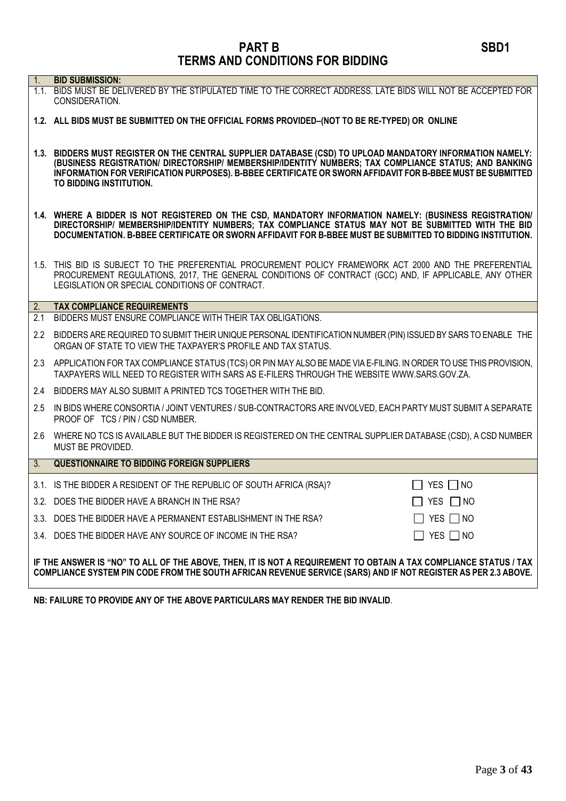| 1.  | <b>BID SUBMISSION:</b>                                                                                                                                                                                                                                                                                                                                      |  |
|-----|-------------------------------------------------------------------------------------------------------------------------------------------------------------------------------------------------------------------------------------------------------------------------------------------------------------------------------------------------------------|--|
|     | 1.1. BIDS MUST BE DELIVERED BY THE STIPULATED TIME TO THE CORRECT ADDRESS. LATE BIDS WILL NOT BE ACCEPTED FOR<br>CONSIDERATION.                                                                                                                                                                                                                             |  |
|     | 1.2. ALL BIDS MUST BE SUBMITTED ON THE OFFICIAL FORMS PROVIDED-(NOT TO BE RE-TYPED) OR ONLINE                                                                                                                                                                                                                                                               |  |
|     | 1.3. BIDDERS MUST REGISTER ON THE CENTRAL SUPPLIER DATABASE (CSD) TO UPLOAD MANDATORY INFORMATION NAMELY:<br>(BUSINESS REGISTRATION/ DIRECTORSHIP/ MEMBERSHIP/IDENTITY NUMBERS; TAX COMPLIANCE STATUS; AND BANKING<br>INFORMATION FOR VERIFICATION PURPOSES). B-BBEE CERTIFICATE OR SWORN AFFIDAVIT FOR B-BBEE MUST BE SUBMITTED<br>TO BIDDING INSTITUTION. |  |
|     | 1.4. WHERE A BIDDER IS NOT REGISTERED ON THE CSD, MANDATORY INFORMATION NAMELY: (BUSINESS REGISTRATION/<br>DIRECTORSHIP/ MEMBERSHIP/IDENTITY NUMBERS; TAX COMPLIANCE STATUS MAY NOT BE SUBMITTED WITH THE BID<br>DOCUMENTATION. B-BBEE CERTIFICATE OR SWORN AFFIDAVIT FOR B-BBEE MUST BE SUBMITTED TO BIDDING INSTITUTION.                                  |  |
|     | 1.5. THIS BID IS SUBJECT TO THE PREFERENTIAL PROCUREMENT POLICY FRAMEWORK ACT 2000 AND THE PREFERENTIAL<br>PROCUREMENT REGULATIONS, 2017, THE GENERAL CONDITIONS OF CONTRACT (GCC) AND, IF APPLICABLE, ANY OTHER<br>LEGISLATION OR SPECIAL CONDITIONS OF CONTRACT.                                                                                          |  |
| 2.  | <b>TAX COMPLIANCE REQUIREMENTS</b>                                                                                                                                                                                                                                                                                                                          |  |
| 2.1 | BIDDERS MUST ENSURE COMPLIANCE WITH THEIR TAX OBLIGATIONS.                                                                                                                                                                                                                                                                                                  |  |
| 2.2 | BIDDERS ARE REQUIRED TO SUBMIT THEIR UNIQUE PERSONAL IDENTIFICATION NUMBER (PIN) ISSUED BY SARS TO ENABLE THE<br>ORGAN OF STATE TO VIEW THE TAXPAYER'S PROFILE AND TAX STATUS.                                                                                                                                                                              |  |
|     | 2.3 APPLICATION FOR TAX COMPLIANCE STATUS (TCS) OR PIN MAY ALSO BE MADE VIA E-FILING. IN ORDER TO USE THIS PROVISION,<br>TAXPAYERS WILL NEED TO REGISTER WITH SARS AS E-FILERS THROUGH THE WEBSITE WWW.SARS.GOV.ZA.                                                                                                                                         |  |
| 2.4 | BIDDERS MAY ALSO SUBMIT A PRINTED TCS TOGETHER WITH THE BID.                                                                                                                                                                                                                                                                                                |  |
| 2.5 | IN BIDS WHERE CONSORTIA / JOINT VENTURES / SUB-CONTRACTORS ARE INVOLVED, EACH PARTY MUST SUBMIT A SEPARATE<br>PROOF OF TCS / PIN / CSD NUMBER.                                                                                                                                                                                                              |  |
| 2.6 | WHERE NO TCS IS AVAILABLE BUT THE BIDDER IS REGISTERED ON THE CENTRAL SUPPLIER DATABASE (CSD), A CSD NUMBER<br>MUST BE PROVIDED.                                                                                                                                                                                                                            |  |
| 3.  | <b>QUESTIONNAIRE TO BIDDING FOREIGN SUPPLIERS</b>                                                                                                                                                                                                                                                                                                           |  |
|     | 3.1. IS THE BIDDER A RESIDENT OF THE REPUBLIC OF SOUTH AFRICA (RSA)?<br>YES $\Box$ NO                                                                                                                                                                                                                                                                       |  |
|     | 3.2. DOES THE BIDDER HAVE A BRANCH IN THE RSA?<br>$\Box$ YES $\Box$ NO                                                                                                                                                                                                                                                                                      |  |
|     | 3.3. DOES THE BIDDER HAVE A PERMANENT ESTABLISHMENT IN THE RSA?<br>YES NO                                                                                                                                                                                                                                                                                   |  |
|     | YES $\Box$ NO<br>3.4. DOES THE BIDDER HAVE ANY SOURCE OF INCOME IN THE RSA?                                                                                                                                                                                                                                                                                 |  |
|     | IF THE ANSWER IS "NO" TO ALL OF THE ABOVE, THEN, IT IS NOT A REQUIREMENT TO OBTAIN A TAX COMPLIANCE STATUS / TAX<br>COMPLIANCE SYSTEM PIN CODE FROM THE SOUTH AFRICAN REVENUE SERVICE (SARS) AND IF NOT REGISTER AS PER 2.3 ABOVE.                                                                                                                          |  |

**NB: FAILURE TO PROVIDE ANY OF THE ABOVE PARTICULARS MAY RENDER THE BID INVALID**.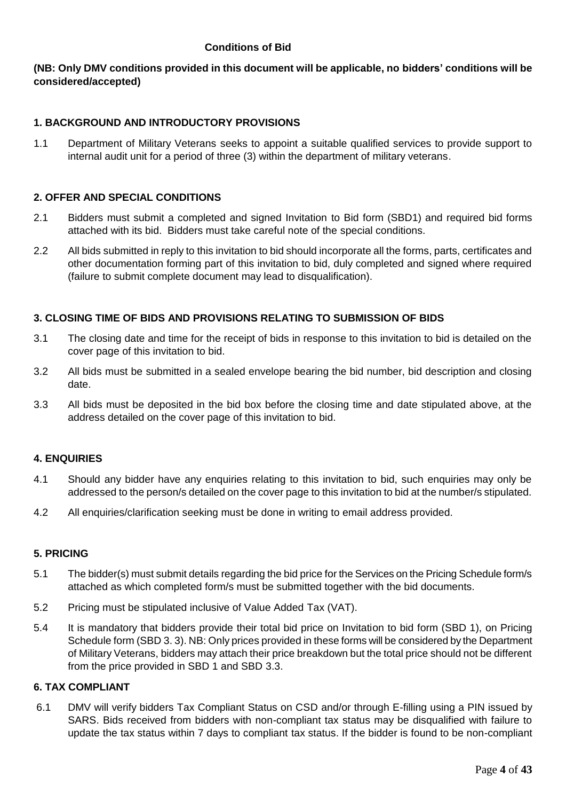## **Conditions of Bid**

## **(NB: Only DMV conditions provided in this document will be applicable, no bidders' conditions will be considered/accepted)**

## **1. BACKGROUND AND INTRODUCTORY PROVISIONS**

1.1 Department of Military Veterans seeks to appoint a suitable qualified services to provide support to internal audit unit for a period of three (3) within the department of military veterans.

#### **2. OFFER AND SPECIAL CONDITIONS**

- 2.1 Bidders must submit a completed and signed Invitation to Bid form (SBD1) and required bid forms attached with its bid. Bidders must take careful note of the special conditions.
- 2.2 All bids submitted in reply to this invitation to bid should incorporate all the forms, parts, certificates and other documentation forming part of this invitation to bid, duly completed and signed where required (failure to submit complete document may lead to disqualification).

## **3. CLOSING TIME OF BIDS AND PROVISIONS RELATING TO SUBMISSION OF BIDS**

- 3.1 The closing date and time for the receipt of bids in response to this invitation to bid is detailed on the cover page of this invitation to bid.
- 3.2 All bids must be submitted in a sealed envelope bearing the bid number, bid description and closing date.
- 3.3 All bids must be deposited in the bid box before the closing time and date stipulated above, at the address detailed on the cover page of this invitation to bid.

#### **4. ENQUIRIES**

- 4.1 Should any bidder have any enquiries relating to this invitation to bid, such enquiries may only be addressed to the person/s detailed on the cover page to this invitation to bid at the number/s stipulated.
- 4.2 All enquiries/clarification seeking must be done in writing to email address provided.

#### **5. PRICING**

- 5.1 The bidder(s) must submit details regarding the bid price for the Services on the Pricing Schedule form/s attached as which completed form/s must be submitted together with the bid documents.
- 5.2 Pricing must be stipulated inclusive of Value Added Tax (VAT).
- 5.4 It is mandatory that bidders provide their total bid price on Invitation to bid form (SBD 1), on Pricing Schedule form (SBD 3. 3). NB: Only prices provided in these forms will be considered by the Department of Military Veterans, bidders may attach their price breakdown but the total price should not be different from the price provided in SBD 1 and SBD 3.3.

#### **6. TAX COMPLIANT**

6.1 DMV will verify bidders Tax Compliant Status on CSD and/or through E-filling using a PIN issued by SARS. Bids received from bidders with non-compliant tax status may be disqualified with failure to update the tax status within 7 days to compliant tax status. If the bidder is found to be non-compliant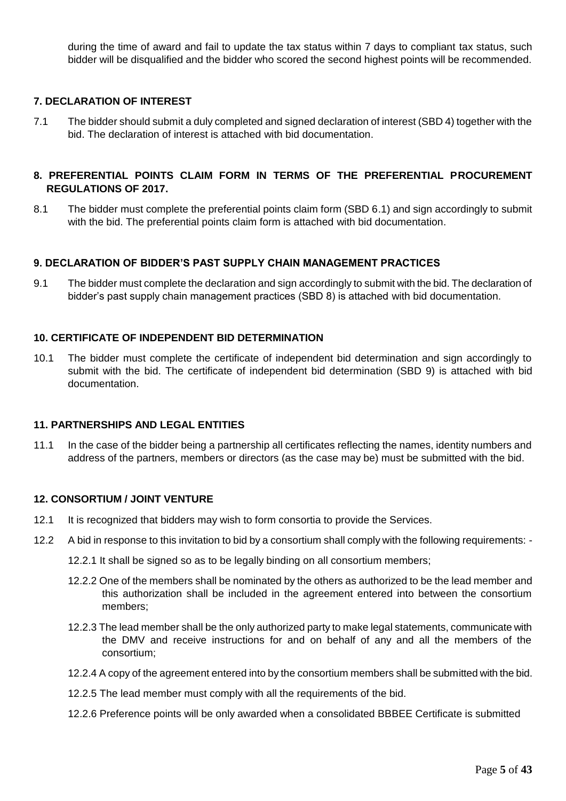during the time of award and fail to update the tax status within 7 days to compliant tax status, such bidder will be disqualified and the bidder who scored the second highest points will be recommended.

## **7. DECLARATION OF INTEREST**

7.1 The bidder should submit a duly completed and signed declaration of interest (SBD 4) together with the bid. The declaration of interest is attached with bid documentation.

## **8. PREFERENTIAL POINTS CLAIM FORM IN TERMS OF THE PREFERENTIAL PROCUREMENT REGULATIONS OF 2017.**

8.1 The bidder must complete the preferential points claim form (SBD 6.1) and sign accordingly to submit with the bid. The preferential points claim form is attached with bid documentation.

## **9. DECLARATION OF BIDDER'S PAST SUPPLY CHAIN MANAGEMENT PRACTICES**

9.1 The bidder must complete the declaration and sign accordingly to submit with the bid. The declaration of bidder's past supply chain management practices (SBD 8) is attached with bid documentation.

## **10. CERTIFICATE OF INDEPENDENT BID DETERMINATION**

10.1 The bidder must complete the certificate of independent bid determination and sign accordingly to submit with the bid. The certificate of independent bid determination (SBD 9) is attached with bid documentation.

#### **11. PARTNERSHIPS AND LEGAL ENTITIES**

11.1 In the case of the bidder being a partnership all certificates reflecting the names, identity numbers and address of the partners, members or directors (as the case may be) must be submitted with the bid.

#### **12. CONSORTIUM / JOINT VENTURE**

- 12.1 It is recognized that bidders may wish to form consortia to provide the Services.
- 12.2 A bid in response to this invitation to bid by a consortium shall comply with the following requirements:
	- 12.2.1 It shall be signed so as to be legally binding on all consortium members;
	- 12.2.2 One of the members shall be nominated by the others as authorized to be the lead member and this authorization shall be included in the agreement entered into between the consortium members;
	- 12.2.3 The lead member shall be the only authorized party to make legal statements, communicate with the DMV and receive instructions for and on behalf of any and all the members of the consortium;
	- 12.2.4 A copy of the agreement entered into by the consortium members shall be submitted with the bid.
	- 12.2.5 The lead member must comply with all the requirements of the bid.
	- 12.2.6 Preference points will be only awarded when a consolidated BBBEE Certificate is submitted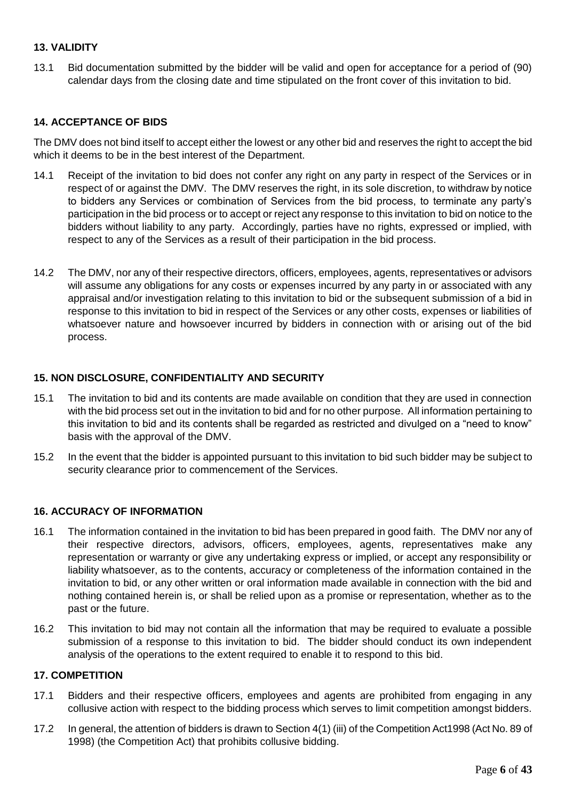## **13. VALIDITY**

13.1 Bid documentation submitted by the bidder will be valid and open for acceptance for a period of (90) calendar days from the closing date and time stipulated on the front cover of this invitation to bid.

## **14. ACCEPTANCE OF BIDS**

The DMV does not bind itself to accept either the lowest or any other bid and reserves the right to accept the bid which it deems to be in the best interest of the Department.

- 14.1 Receipt of the invitation to bid does not confer any right on any party in respect of the Services or in respect of or against the DMV. The DMV reserves the right, in its sole discretion, to withdraw by notice to bidders any Services or combination of Services from the bid process, to terminate any party's participation in the bid process or to accept or reject any response to this invitation to bid on notice to the bidders without liability to any party. Accordingly, parties have no rights, expressed or implied, with respect to any of the Services as a result of their participation in the bid process.
- 14.2 The DMV, nor any of their respective directors, officers, employees, agents, representatives or advisors will assume any obligations for any costs or expenses incurred by any party in or associated with any appraisal and/or investigation relating to this invitation to bid or the subsequent submission of a bid in response to this invitation to bid in respect of the Services or any other costs, expenses or liabilities of whatsoever nature and howsoever incurred by bidders in connection with or arising out of the bid process.

## **15. NON DISCLOSURE, CONFIDENTIALITY AND SECURITY**

- 15.1 The invitation to bid and its contents are made available on condition that they are used in connection with the bid process set out in the invitation to bid and for no other purpose. All information pertaining to this invitation to bid and its contents shall be regarded as restricted and divulged on a "need to know" basis with the approval of the DMV.
- 15.2 In the event that the bidder is appointed pursuant to this invitation to bid such bidder may be subject to security clearance prior to commencement of the Services.

## **16. ACCURACY OF INFORMATION**

- 16.1 The information contained in the invitation to bid has been prepared in good faith. The DMV nor any of their respective directors, advisors, officers, employees, agents, representatives make any representation or warranty or give any undertaking express or implied, or accept any responsibility or liability whatsoever, as to the contents, accuracy or completeness of the information contained in the invitation to bid, or any other written or oral information made available in connection with the bid and nothing contained herein is, or shall be relied upon as a promise or representation, whether as to the past or the future.
- 16.2 This invitation to bid may not contain all the information that may be required to evaluate a possible submission of a response to this invitation to bid. The bidder should conduct its own independent analysis of the operations to the extent required to enable it to respond to this bid.

#### **17. COMPETITION**

- 17.1 Bidders and their respective officers, employees and agents are prohibited from engaging in any collusive action with respect to the bidding process which serves to limit competition amongst bidders.
- 17.2 In general, the attention of bidders is drawn to Section 4(1) (iii) of the Competition Act1998 (Act No. 89 of 1998) (the Competition Act) that prohibits collusive bidding.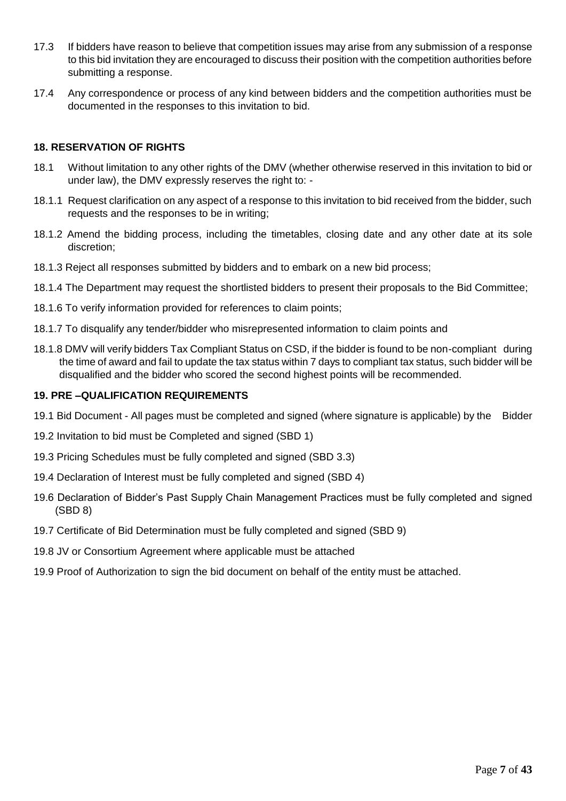- 17.3 If bidders have reason to believe that competition issues may arise from any submission of a response to this bid invitation they are encouraged to discuss their position with the competition authorities before submitting a response.
- 17.4 Any correspondence or process of any kind between bidders and the competition authorities must be documented in the responses to this invitation to bid.

## **18. RESERVATION OF RIGHTS**

- 18.1 Without limitation to any other rights of the DMV (whether otherwise reserved in this invitation to bid or under law), the DMV expressly reserves the right to: -
- 18.1.1 Request clarification on any aspect of a response to this invitation to bid received from the bidder, such requests and the responses to be in writing;
- 18.1.2 Amend the bidding process, including the timetables, closing date and any other date at its sole discretion;
- 18.1.3 Reject all responses submitted by bidders and to embark on a new bid process;
- 18.1.4 The Department may request the shortlisted bidders to present their proposals to the Bid Committee;
- 18.1.6 To verify information provided for references to claim points;
- 18.1.7 To disqualify any tender/bidder who misrepresented information to claim points and
- 18.1.8 DMV will verify bidders Tax Compliant Status on CSD, if the bidder is found to be non-compliant during the time of award and fail to update the tax status within 7 days to compliant tax status, such bidder will be disqualified and the bidder who scored the second highest points will be recommended.

#### **19. PRE –QUALIFICATION REQUIREMENTS**

- 19.1 Bid Document All pages must be completed and signed (where signature is applicable) by the Bidder
- 19.2 Invitation to bid must be Completed and signed (SBD 1)
- 19.3 Pricing Schedules must be fully completed and signed (SBD 3.3)
- 19.4 Declaration of Interest must be fully completed and signed (SBD 4)
- 19.6 Declaration of Bidder's Past Supply Chain Management Practices must be fully completed and signed (SBD 8)
- 19.7 Certificate of Bid Determination must be fully completed and signed (SBD 9)
- 19.8 JV or Consortium Agreement where applicable must be attached
- 19.9 Proof of Authorization to sign the bid document on behalf of the entity must be attached.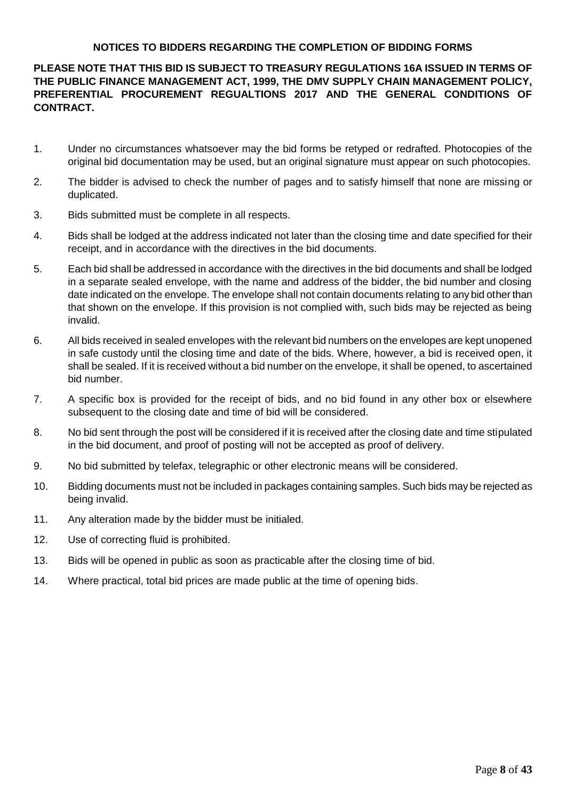## **NOTICES TO BIDDERS REGARDING THE COMPLETION OF BIDDING FORMS**

# **PLEASE NOTE THAT THIS BID IS SUBJECT TO TREASURY REGULATIONS 16A ISSUED IN TERMS OF THE PUBLIC FINANCE MANAGEMENT ACT, 1999, THE DMV SUPPLY CHAIN MANAGEMENT POLICY, PREFERENTIAL PROCUREMENT REGUALTIONS 2017 AND THE GENERAL CONDITIONS OF CONTRACT.**

- 1. Under no circumstances whatsoever may the bid forms be retyped or redrafted. Photocopies of the original bid documentation may be used, but an original signature must appear on such photocopies.
- 2. The bidder is advised to check the number of pages and to satisfy himself that none are missing or duplicated.
- 3. Bids submitted must be complete in all respects.
- 4. Bids shall be lodged at the address indicated not later than the closing time and date specified for their receipt, and in accordance with the directives in the bid documents.
- 5. Each bid shall be addressed in accordance with the directives in the bid documents and shall be lodged in a separate sealed envelope, with the name and address of the bidder, the bid number and closing date indicated on the envelope. The envelope shall not contain documents relating to any bid other than that shown on the envelope. If this provision is not complied with, such bids may be rejected as being invalid.
- 6. All bids received in sealed envelopes with the relevant bid numbers on the envelopes are kept unopened in safe custody until the closing time and date of the bids. Where, however, a bid is received open, it shall be sealed. If it is received without a bid number on the envelope, it shall be opened, to ascertained bid number.
- 7. A specific box is provided for the receipt of bids, and no bid found in any other box or elsewhere subsequent to the closing date and time of bid will be considered.
- 8. No bid sent through the post will be considered if it is received after the closing date and time stipulated in the bid document, and proof of posting will not be accepted as proof of delivery.
- 9. No bid submitted by telefax, telegraphic or other electronic means will be considered.
- 10. Bidding documents must not be included in packages containing samples. Such bids may be rejected as being invalid.
- 11. Any alteration made by the bidder must be initialed.
- 12. Use of correcting fluid is prohibited.
- 13. Bids will be opened in public as soon as practicable after the closing time of bid.
- 14. Where practical, total bid prices are made public at the time of opening bids.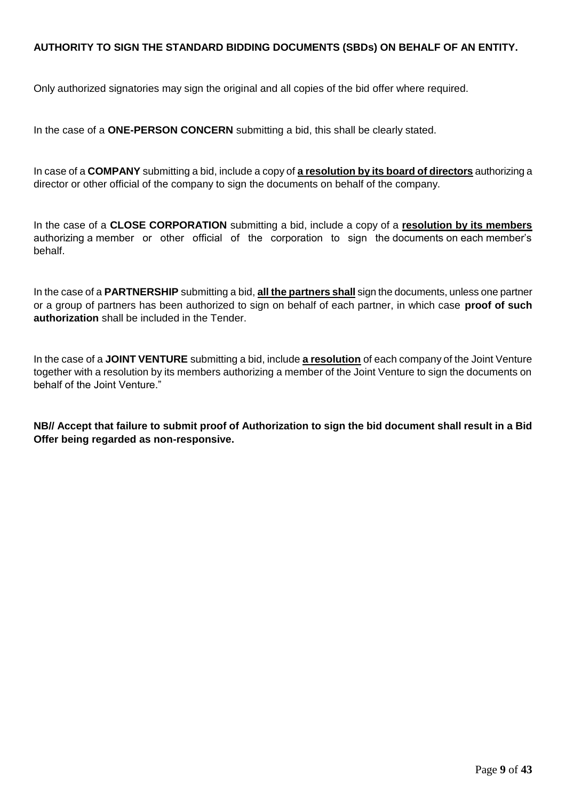## **AUTHORITY TO SIGN THE STANDARD BIDDING DOCUMENTS (SBDs) ON BEHALF OF AN ENTITY.**

Only authorized signatories may sign the original and all copies of the bid offer where required.

In the case of a **ONE-PERSON CONCERN** submitting a bid, this shall be clearly stated.

In case of a **COMPANY** submitting a bid, include a copy of **a resolution by its board of directors** authorizing a director or other official of the company to sign the documents on behalf of the company.

In the case of a **CLOSE CORPORATION** submitting a bid, include a copy of a **resolution by its members** authorizing a member or other official of the corporation to sign the documents on each member's behalf.

In the case of a **PARTNERSHIP** submitting a bid, **all the partners shall** sign the documents, unless one partner or a group of partners has been authorized to sign on behalf of each partner, in which case **proof of such authorization** shall be included in the Tender.

In the case of a **JOINT VENTURE** submitting a bid, include **a resolution** of each company of the Joint Venture together with a resolution by its members authorizing a member of the Joint Venture to sign the documents on behalf of the Joint Venture."

**NB// Accept that failure to submit proof of Authorization to sign the bid document shall result in a Bid Offer being regarded as non-responsive.**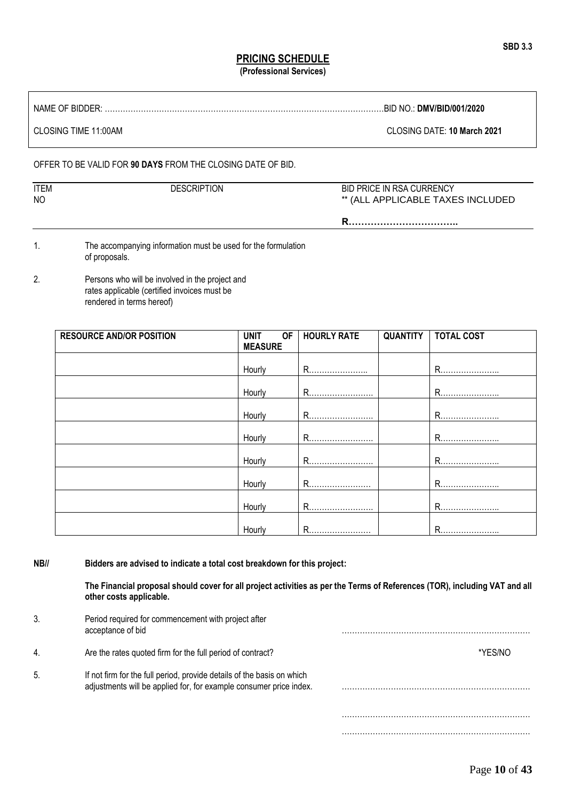#### **PRICING SCHEDULE (Professional Services)**

NAME OF BIDDER: ………………………………………………………………………………………………BID NO.: **DMV/BID/001/2020**

CLOSING TIME 11:00AM CLOSING DATE: **10 March 2021**

#### OFFER TO BE VALID FOR **90 DAYS** FROM THE CLOSING DATE OF BID.

| <b>ITEM</b><br>NO | <b>DESCRIPTION</b> | <b>BID PRICE IN RSA CURRENCY</b><br>** (ALL APPLICABLE TAXES INCLUDED |
|-------------------|--------------------|-----------------------------------------------------------------------|
|                   |                    |                                                                       |

1. The accompanying information must be used for the formulation of proposals.

2. Persons who will be involved in the project and rates applicable (certified invoices must be rendered in terms hereof)

| <b>RESOURCE AND/OR POSITION</b> | <b>OF</b><br><b>UNIT</b> | <b>HOURLY RATE</b> | <b>QUANTITY   TOTAL COST</b> |
|---------------------------------|--------------------------|--------------------|------------------------------|
|                                 | <b>MEASURE</b>           |                    |                              |
|                                 |                          |                    |                              |
|                                 | Hourly                   | R                  | R                            |
|                                 |                          |                    |                              |
|                                 | Hourly                   | R                  | R <u></u>                    |
|                                 |                          |                    |                              |
|                                 | Hourly                   | R                  | R                            |
|                                 |                          |                    |                              |
|                                 | Hourly                   | R                  | R                            |
|                                 |                          |                    |                              |
|                                 | Hourly                   | R                  | R                            |
|                                 |                          |                    |                              |
|                                 | Hourly                   | R                  | R                            |
|                                 |                          |                    |                              |
|                                 | Hourly                   | R                  | R                            |
|                                 |                          |                    |                              |
|                                 | Hourly                   | R                  | R                            |

**NB// Bidders are advised to indicate a total cost breakdown for this project:**

**The Financial proposal should cover for all project activities as per the Terms of References (TOR), including VAT and all other costs applicable.**

| 3. | Period required for commencement with project after<br>acceptance of bid                                                                     |         |
|----|----------------------------------------------------------------------------------------------------------------------------------------------|---------|
| 4. | Are the rates quoted firm for the full period of contract?                                                                                   | *YFS/NO |
| 5. | If not firm for the full period, provide details of the basis on which<br>adjustments will be applied for, for example consumer price index. |         |
|    |                                                                                                                                              |         |
|    |                                                                                                                                              |         |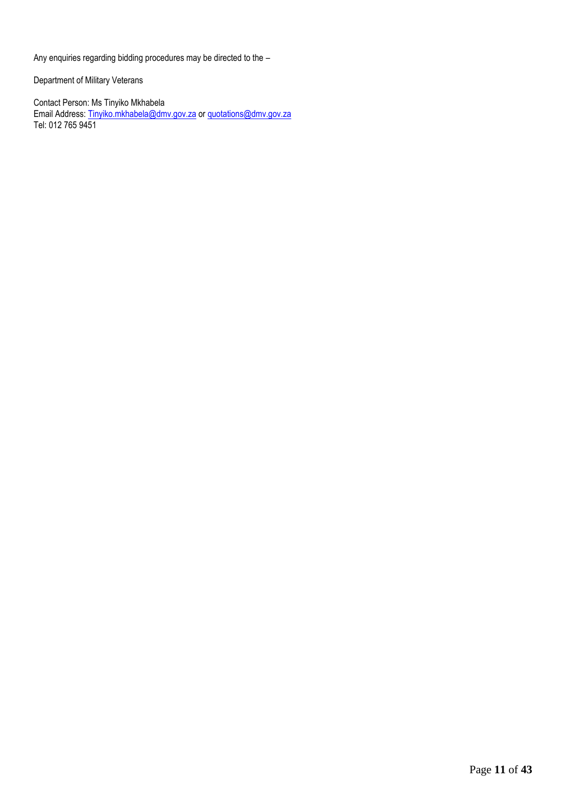Any enquiries regarding bidding procedures may be directed to the –

Department of Military Veterans

Contact Person: Ms Tinyiko Mkhabela Email Address[: Tinyiko.mkhabela@dmv.gov.za](mailto:Tinyiko.mkhabela@dmv.gov.za) o[r quotations@dmv.gov.za](mailto:quotations@dmv.gov.za) Tel: 012 765 9451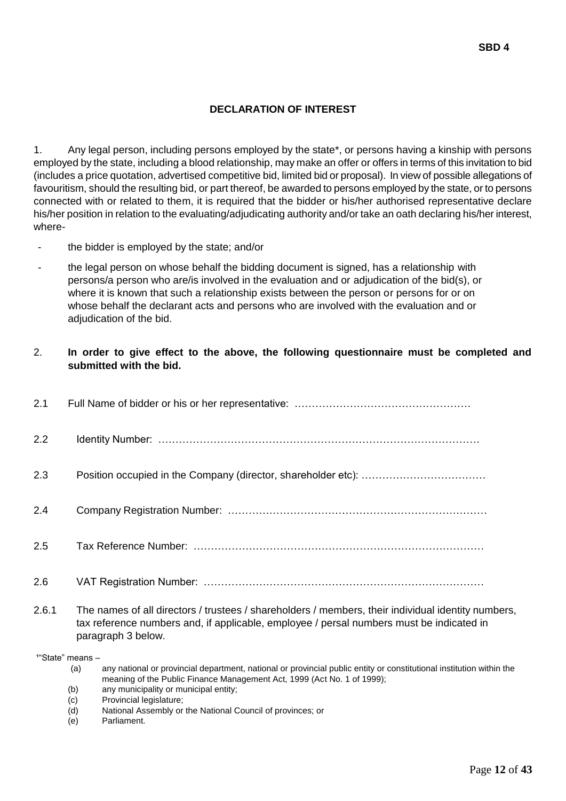## **DECLARATION OF INTEREST**

1. Any legal person, including persons employed by the state\*, or persons having a kinship with persons employed by the state, including a blood relationship, may make an offer or offers in terms of this invitation to bid (includes a price quotation, advertised competitive bid, limited bid or proposal). In view of possible allegations of favouritism, should the resulting bid, or part thereof, be awarded to persons employed by the state, or to persons connected with or related to them, it is required that the bidder or his/her authorised representative declare his/her position in relation to the evaluating/adjudicating authority and/or take an oath declaring his/her interest, where-

- the bidder is employed by the state; and/or
- the legal person on whose behalf the bidding document is signed, has a relationship with persons/a person who are/is involved in the evaluation and or adjudication of the bid(s), or where it is known that such a relationship exists between the person or persons for or on whose behalf the declarant acts and persons who are involved with the evaluation and or adjudication of the bid.

#### 2. **In order to give effect to the above, the following questionnaire must be completed and submitted with the bid.**

| 2.1 |  |
|-----|--|
| 2.2 |  |
| 2.3 |  |
| 2.4 |  |
| 2.5 |  |
| 2.6 |  |

2.6.1 The names of all directors / trustees / shareholders / members, their individual identity numbers, tax reference numbers and, if applicable, employee / persal numbers must be indicated in paragraph 3 below.

 $14$ "State" means  $-$ 

- (a) any national or provincial department, national or provincial public entity or constitutional institution within the meaning of the Public Finance Management Act, 1999 (Act No. 1 of 1999);
- (b) any municipality or municipal entity;
- (c) Provincial legislature;
- (d) National Assembly or the National Council of provinces; or
- (e) Parliament.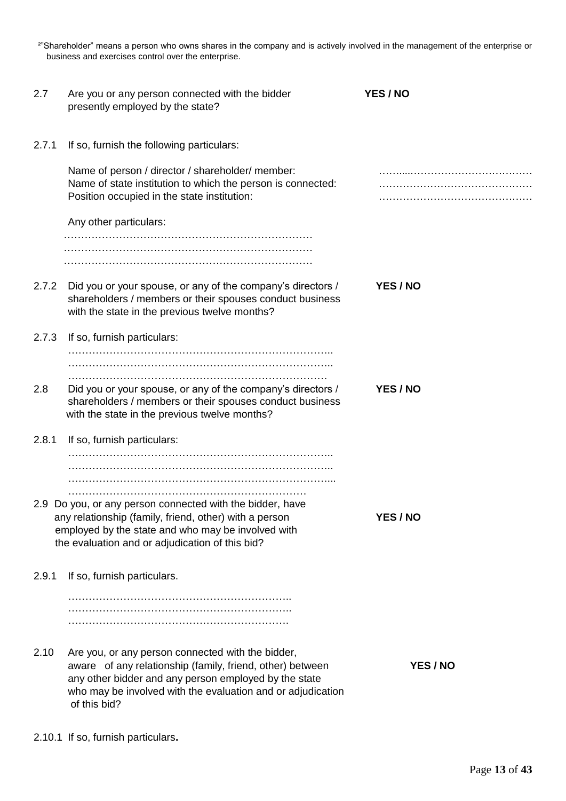²"Shareholder" means a person who owns shares in the company and is actively involved in the management of the enterprise or business and exercises control over the enterprise.

| 2.7   | Are you or any person connected with the bidder<br>presently employed by the state?                                                                                                                                                                    | YES / NO |
|-------|--------------------------------------------------------------------------------------------------------------------------------------------------------------------------------------------------------------------------------------------------------|----------|
| 2.7.1 | If so, furnish the following particulars:                                                                                                                                                                                                              |          |
|       | Name of person / director / shareholder/ member:<br>Name of state institution to which the person is connected:<br>Position occupied in the state institution:                                                                                         |          |
|       | Any other particulars:                                                                                                                                                                                                                                 |          |
|       |                                                                                                                                                                                                                                                        |          |
| 2.7.2 | Did you or your spouse, or any of the company's directors /<br>shareholders / members or their spouses conduct business<br>with the state in the previous twelve months?                                                                               | YES / NO |
| 2.7.3 | If so, furnish particulars:                                                                                                                                                                                                                            |          |
|       |                                                                                                                                                                                                                                                        |          |
| 2.8   | Did you or your spouse, or any of the company's directors /<br>shareholders / members or their spouses conduct business<br>with the state in the previous twelve months?                                                                               | YES / NO |
| 2.8.1 | If so, furnish particulars:                                                                                                                                                                                                                            |          |
|       |                                                                                                                                                                                                                                                        |          |
|       | 2.9 Do you, or any person connected with the bidder, have<br>any relationship (family, friend, other) with a person<br>employed by the state and who may be involved with<br>the evaluation and or adjudication of this bid?                           | YES / NO |
| 2.9.1 | If so, furnish particulars.                                                                                                                                                                                                                            |          |
|       |                                                                                                                                                                                                                                                        |          |
| 2.10  | Are you, or any person connected with the bidder,<br>aware of any relationship (family, friend, other) between<br>any other bidder and any person employed by the state<br>who may be involved with the evaluation and or adjudication<br>of this bid? | YES / NO |

2.10.1 If so, furnish particulars**.**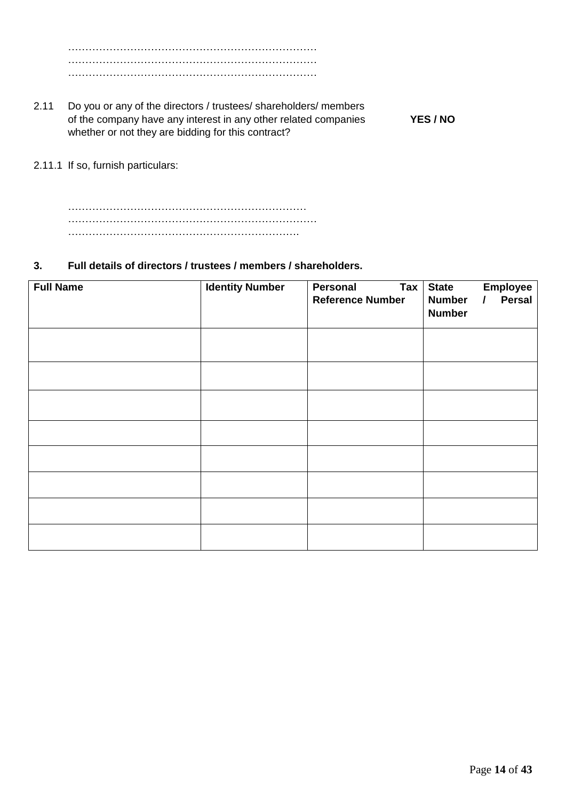……………………………………………………………… ……………………………………………………………… ………………………………………………………………

- 2.11 Do you or any of the directors / trustees/ shareholders/ members of the company have any interest in any other related companies **YES / NO** whether or not they are bidding for this contract?
- 2.11.1 If so, furnish particulars:

…………………………………………………………… ……………………………………………………………… ………………………………………………………….

## **3. Full details of directors / trustees / members / shareholders.**

| <b>Full Name</b> | <b>Identity Number</b> | Personal<br>$\mathsf{Tax}$<br><b>Reference Number</b> | <b>State</b><br><b>Employee</b><br>Persal<br><b>Number</b><br>$\prime$<br><b>Number</b> |
|------------------|------------------------|-------------------------------------------------------|-----------------------------------------------------------------------------------------|
|                  |                        |                                                       |                                                                                         |
|                  |                        |                                                       |                                                                                         |
|                  |                        |                                                       |                                                                                         |
|                  |                        |                                                       |                                                                                         |
|                  |                        |                                                       |                                                                                         |
|                  |                        |                                                       |                                                                                         |
|                  |                        |                                                       |                                                                                         |
|                  |                        |                                                       |                                                                                         |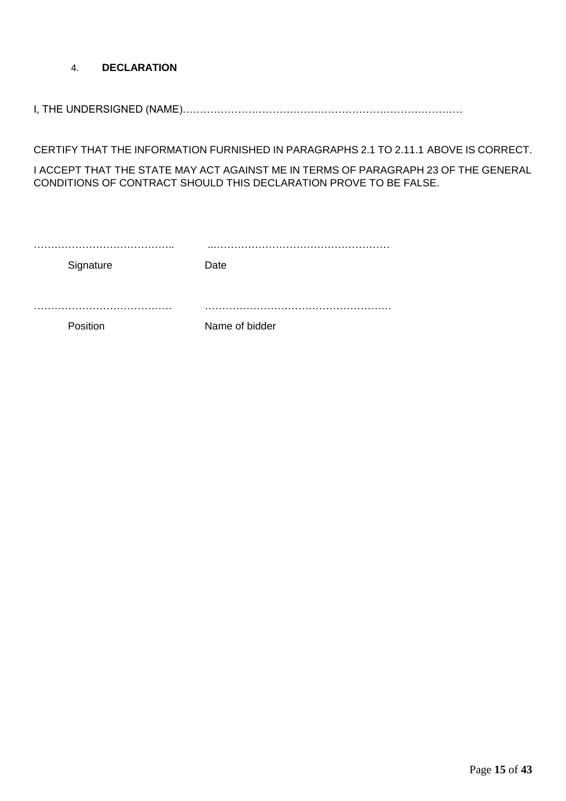# 4. **DECLARATION**

I, THE UNDERSIGNED (NAME)………………………………………………………………………

CERTIFY THAT THE INFORMATION FURNISHED IN PARAGRAPHS 2.1 TO 2.11.1 ABOVE IS CORRECT.

I ACCEPT THAT THE STATE MAY ACT AGAINST ME IN TERMS OF PARAGRAPH 23 OF THE GENERAL CONDITIONS OF CONTRACT SHOULD THIS DECLARATION PROVE TO BE FALSE.

| Signature | .<br>Date           |
|-----------|---------------------|
| Position  | .<br>Name of bidder |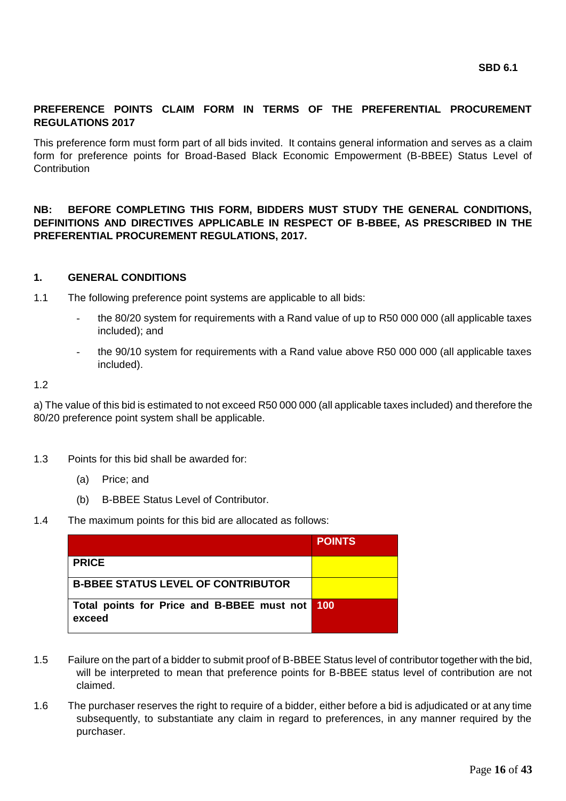## **PREFERENCE POINTS CLAIM FORM IN TERMS OF THE PREFERENTIAL PROCUREMENT REGULATIONS 2017**

This preference form must form part of all bids invited. It contains general information and serves as a claim form for preference points for Broad-Based Black Economic Empowerment (B-BBEE) Status Level of **Contribution** 

**NB: BEFORE COMPLETING THIS FORM, BIDDERS MUST STUDY THE GENERAL CONDITIONS, DEFINITIONS AND DIRECTIVES APPLICABLE IN RESPECT OF B-BBEE, AS PRESCRIBED IN THE PREFERENTIAL PROCUREMENT REGULATIONS, 2017.** 

## **1. GENERAL CONDITIONS**

1.1 The following preference point systems are applicable to all bids:

- the 80/20 system for requirements with a Rand value of up to R50 000 000 (all applicable taxes included); and
- the 90/10 system for requirements with a Rand value above R50 000 000 (all applicable taxes included).

1.2

a) The value of this bid is estimated to not exceed R50 000 000 (all applicable taxes included) and therefore the 80/20 preference point system shall be applicable.

- 1.3 Points for this bid shall be awarded for:
	- (a) Price; and
	- (b) B-BBEE Status Level of Contributor.
- 1.4 The maximum points for this bid are allocated as follows:

|                                                          | <b>POINTS</b> |
|----------------------------------------------------------|---------------|
| <b>PRICE</b>                                             |               |
| <b>B-BBEE STATUS LEVEL OF CONTRIBUTOR</b>                |               |
| Total points for Price and B-BBEE must not 100<br>exceed |               |

- 1.5 Failure on the part of a bidder to submit proof of B-BBEE Status level of contributor together with the bid, will be interpreted to mean that preference points for B-BBEE status level of contribution are not claimed.
- 1.6 The purchaser reserves the right to require of a bidder, either before a bid is adjudicated or at any time subsequently, to substantiate any claim in regard to preferences, in any manner required by the purchaser.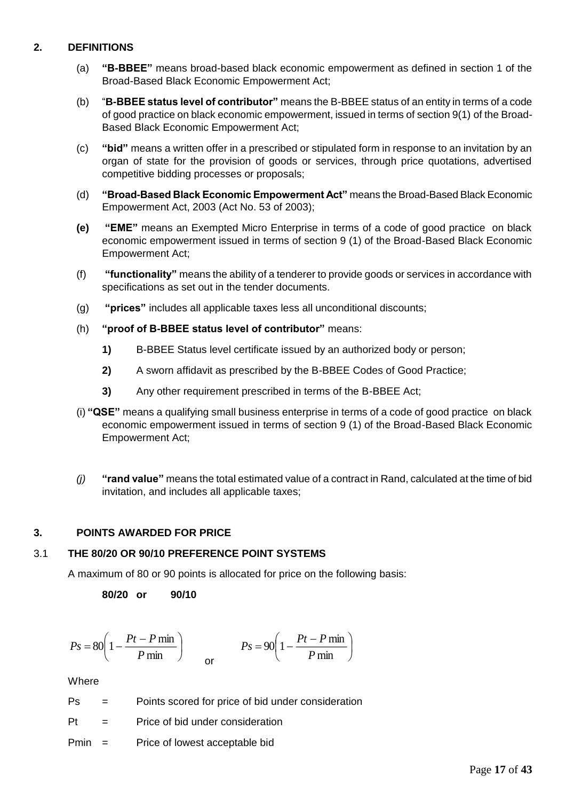# **2. DEFINITIONS**

- (a) **"B-BBEE"** means broad-based black economic empowerment as defined in section 1 of the Broad-Based Black Economic Empowerment Act;
- (b) "**B-BBEE status level of contributor"** means the B-BBEE status of an entity in terms of a code of good practice on black economic empowerment, issued in terms of section 9(1) of the Broad-Based Black Economic Empowerment Act;
- (c) **"bid"** means a written offer in a prescribed or stipulated form in response to an invitation by an organ of state for the provision of goods or services, through price quotations, advertised competitive bidding processes or proposals;
- (d) **"Broad-Based Black Economic Empowerment Act"** means the Broad-Based Black Economic Empowerment Act, 2003 (Act No. 53 of 2003);
- **(e) "EME"** means an Exempted Micro Enterprise in terms of a code of good practice on black economic empowerment issued in terms of section 9 (1) of the Broad-Based Black Economic Empowerment Act;
- (f) **"functionality"** means the ability of a tenderer to provide goods or services in accordance with specifications as set out in the tender documents.
- (g) **"prices"** includes all applicable taxes less all unconditional discounts;
- (h) **"proof of B-BBEE status level of contributor"** means:
	- **1)** B-BBEE Status level certificate issued by an authorized body or person;
	- **2)** A sworn affidavit as prescribed by the B-BBEE Codes of Good Practice;
	- **3)** Any other requirement prescribed in terms of the B-BBEE Act;
- (i) **"QSE"** means a qualifying small business enterprise in terms of a code of good practice on black economic empowerment issued in terms of section 9 (1) of the Broad-Based Black Economic Empowerment Act;
- *(j)* **"rand value"** means the total estimated value of a contract in Rand, calculated at the time of bid invitation, and includes all applicable taxes;

# **3. POINTS AWARDED FOR PRICE**

## 3.1 **THE 80/20 OR 90/10 PREFERENCE POINT SYSTEMS**

A maximum of 80 or 90 points is allocated for price on the following basis:

**80/20 or 90/10**

$$
Ps = 80\left(1 - \frac{Pt - P \min P}{ \min}\right) \qquad \qquad Ps = 90\left(1 - \frac{Pt - P \min P}{ \min}\right)
$$

**Where** 

| Ps | Points scored for price of bid under consideration |
|----|----------------------------------------------------|
|----|----------------------------------------------------|

Pt = Price of bid under consideration

Pmin = Price of lowest acceptable bid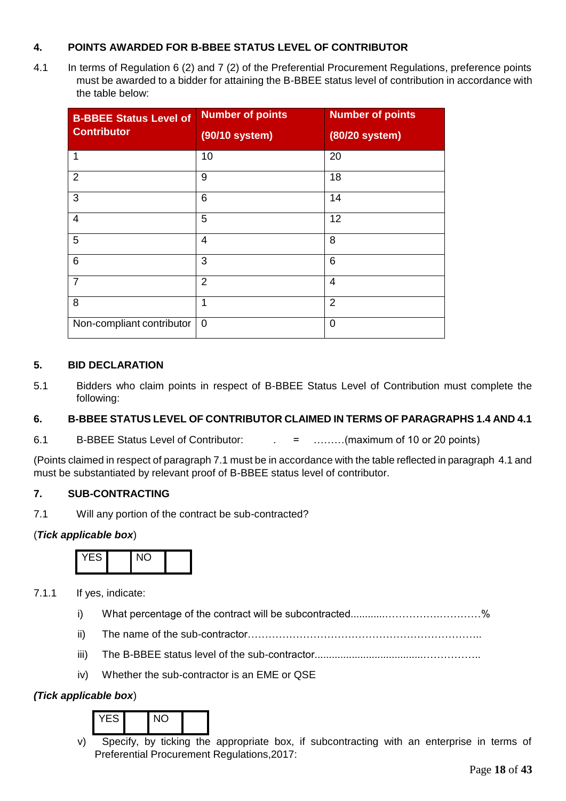# **4. POINTS AWARDED FOR B-BBEE STATUS LEVEL OF CONTRIBUTOR**

4.1 In terms of Regulation 6 (2) and 7 (2) of the Preferential Procurement Regulations, preference points must be awarded to a bidder for attaining the B-BBEE status level of contribution in accordance with the table below:

| <b>B-BBEE Status Level of</b><br><b>Contributor</b> | <b>Number of points</b><br>(90/10 system) | <b>Number of points</b><br>(80/20 system) |
|-----------------------------------------------------|-------------------------------------------|-------------------------------------------|
| 1                                                   | 10                                        | 20                                        |
| 2                                                   | 9                                         | 18                                        |
| 3                                                   | 6                                         | 14                                        |
| $\overline{4}$                                      | 5                                         | 12                                        |
| 5                                                   | $\overline{4}$                            | 8                                         |
| 6                                                   | 3                                         | 6                                         |
| $\overline{7}$                                      | $\overline{2}$                            | $\overline{4}$                            |
| 8                                                   | 1                                         | $\overline{2}$                            |
| Non-compliant contributor                           | $\mathbf 0$                               | $\mathbf 0$                               |

## **5. BID DECLARATION**

5.1 Bidders who claim points in respect of B-BBEE Status Level of Contribution must complete the following:

# **6. B-BBEE STATUS LEVEL OF CONTRIBUTOR CLAIMED IN TERMS OF PARAGRAPHS 1.4 AND 4.1**

6.1 B-BBEE Status Level of Contributor:  $\qquad \qquad = \qquad \qquad \dots \dots \dots (maximum of 10 or 20 points)$ 

(Points claimed in respect of paragraph 7.1 must be in accordance with the table reflected in paragraph 4.1 and must be substantiated by relevant proof of B-BBEE status level of contributor.

# **7. SUB-CONTRACTING**

7.1 Will any portion of the contract be sub-contracted?

## (*Tick applicable box*)



7.1.1 If yes, indicate:

- i) What percentage of the contract will be subcontracted............…………….…………%
- ii) The name of the sub-contractor…………………………………………………………..
- iii) The B-BBEE status level of the sub-contractor......................................……………..
- iv) Whether the sub-contractor is an EME or QSE

# *(Tick applicable box*)

YES NO

v) Specify, by ticking the appropriate box, if subcontracting with an enterprise in terms of Preferential Procurement Regulations,2017: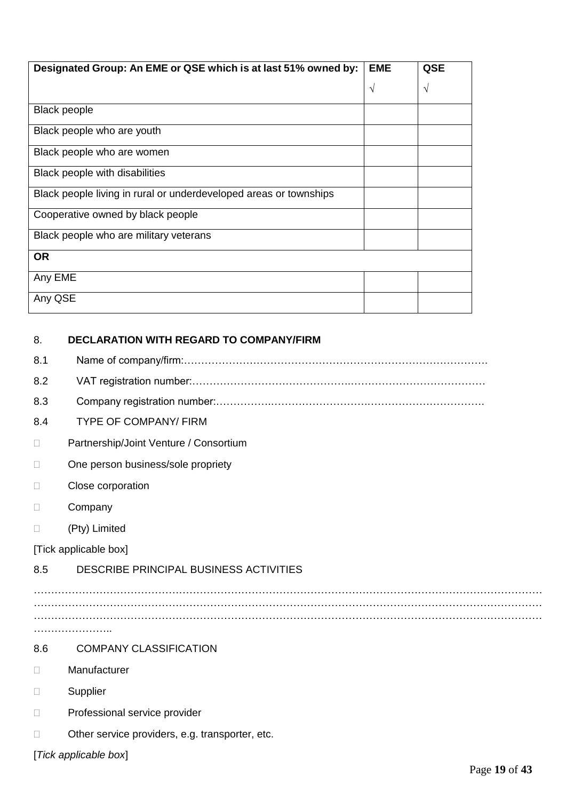| Designated Group: An EME or QSE which is at last 51% owned by:    | <b>EME</b> | QSE |
|-------------------------------------------------------------------|------------|-----|
|                                                                   | $\sqrt{}$  | V   |
| Black people                                                      |            |     |
| Black people who are youth                                        |            |     |
| Black people who are women                                        |            |     |
| Black people with disabilities                                    |            |     |
| Black people living in rural or underdeveloped areas or townships |            |     |
| Cooperative owned by black people                                 |            |     |
| Black people who are military veterans                            |            |     |
| <b>OR</b>                                                         |            |     |
| Any EME                                                           |            |     |
| Any QSE                                                           |            |     |

| 8.     | <b>DECLARATION WITH REGARD TO COMPANY/FIRM</b>  |
|--------|-------------------------------------------------|
| 8.1    |                                                 |
| 8.2    |                                                 |
| 8.3    |                                                 |
| 8.4    | <b>TYPE OF COMPANY/ FIRM</b>                    |
| П      | Partnership/Joint Venture / Consortium          |
| П      | One person business/sole propriety              |
| $\Box$ | Close corporation                               |
| П      | Company                                         |
| П      | (Pty) Limited                                   |
|        | [Tick applicable box]                           |
| 8.5    | DESCRIBE PRINCIPAL BUSINESS ACTIVITIES          |
|        |                                                 |
|        |                                                 |
|        |                                                 |
| 8.6    | <b>COMPANY CLASSIFICATION</b>                   |
| П.     | Manufacturer                                    |
| П      | Supplier                                        |
| П      | Professional service provider                   |
| П      | Other service providers, e.g. transporter, etc. |
|        | [Tick applicable box]                           |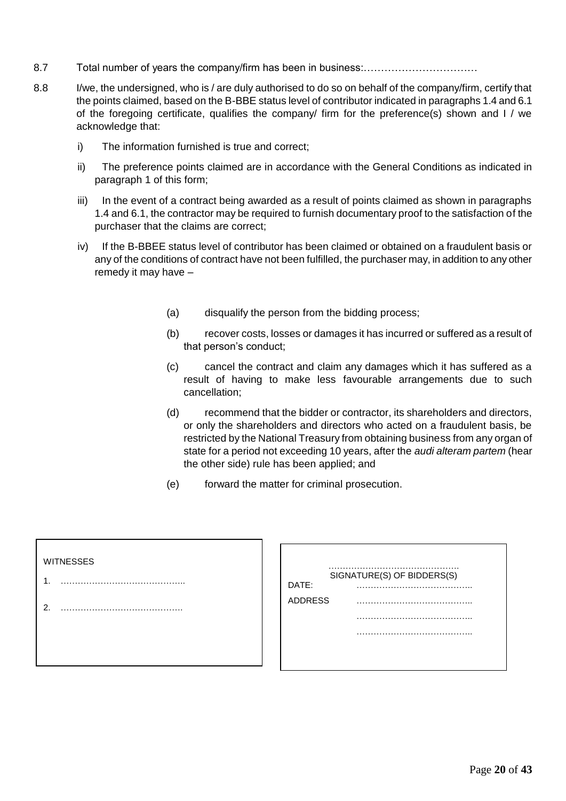- 8.7 Total number of years the company/firm has been in business:……………………………
- 8.8 I/we, the undersigned, who is / are duly authorised to do so on behalf of the company/firm, certify that the points claimed, based on the B-BBE status level of contributor indicated in paragraphs 1.4 and 6.1 of the foregoing certificate, qualifies the company/ firm for the preference(s) shown and I / we acknowledge that:
	- i) The information furnished is true and correct;
	- ii) The preference points claimed are in accordance with the General Conditions as indicated in paragraph 1 of this form;
	- iii) In the event of a contract being awarded as a result of points claimed as shown in paragraphs 1.4 and 6.1, the contractor may be required to furnish documentary proof to the satisfaction of the purchaser that the claims are correct;
	- iv) If the B-BBEE status level of contributor has been claimed or obtained on a fraudulent basis or any of the conditions of contract have not been fulfilled, the purchaser may, in addition to any other remedy it may have –
		- (a) disqualify the person from the bidding process;
		- (b) recover costs, losses or damages it has incurred or suffered as a result of that person's conduct;
		- (c) cancel the contract and claim any damages which it has suffered as a result of having to make less favourable arrangements due to such cancellation;
		- (d) recommend that the bidder or contractor, its shareholders and directors, or only the shareholders and directors who acted on a fraudulent basis, be restricted by the National Treasury from obtaining business from any organ of state for a period not exceeding 10 years, after the *audi alteram partem* (hear the other side) rule has been applied; and
		- (e) forward the matter for criminal prosecution.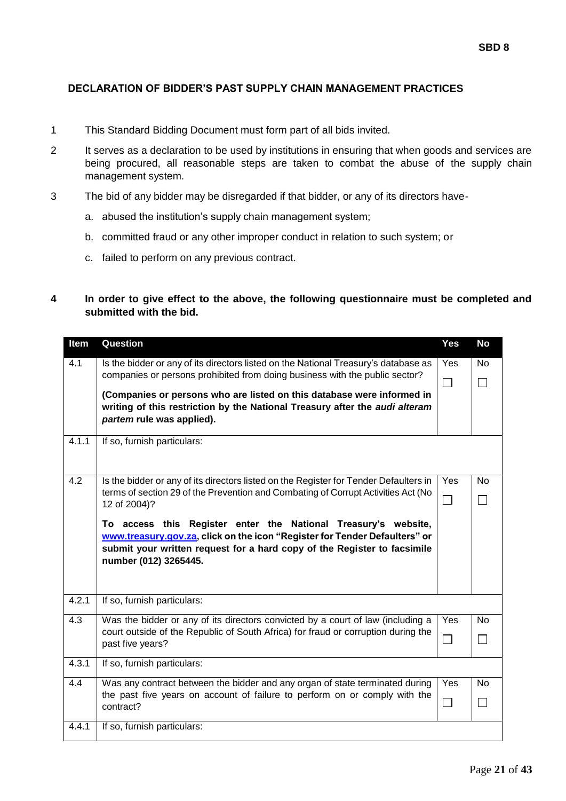## **DECLARATION OF BIDDER'S PAST SUPPLY CHAIN MANAGEMENT PRACTICES**

- 1 This Standard Bidding Document must form part of all bids invited.
- 2 It serves as a declaration to be used by institutions in ensuring that when goods and services are being procured, all reasonable steps are taken to combat the abuse of the supply chain management system.
- 3 The bid of any bidder may be disregarded if that bidder, or any of its directors have
	- a. abused the institution's supply chain management system;
	- b. committed fraud or any other improper conduct in relation to such system; or
	- c. failed to perform on any previous contract.

## **4 In order to give effect to the above, the following questionnaire must be completed and submitted with the bid.**

| Item             | Question                                                                                                                                                                                                                                          | Yes                      | <b>No</b> |
|------------------|---------------------------------------------------------------------------------------------------------------------------------------------------------------------------------------------------------------------------------------------------|--------------------------|-----------|
| 4.1              | Is the bidder or any of its directors listed on the National Treasury's database as<br>companies or persons prohibited from doing business with the public sector?                                                                                | Yes                      | No        |
|                  |                                                                                                                                                                                                                                                   | $\overline{\phantom{0}}$ |           |
|                  | (Companies or persons who are listed on this database were informed in<br>writing of this restriction by the National Treasury after the audi alteram<br>partem rule was applied).                                                                |                          |           |
| 4.1.1            | If so, furnish particulars:                                                                                                                                                                                                                       |                          |           |
| 4.2              | Is the bidder or any of its directors listed on the Register for Tender Defaulters in                                                                                                                                                             | Yes                      | <b>No</b> |
|                  | terms of section 29 of the Prevention and Combating of Corrupt Activities Act (No<br>12 of 2004)?                                                                                                                                                 |                          |           |
|                  | To access this Register enter the National Treasury's website,<br>www.treasury.gov.za, click on the icon "Register for Tender Defaulters" or<br>submit your written request for a hard copy of the Register to facsimile<br>number (012) 3265445. |                          |           |
| 4.2.1            | If so, furnish particulars:                                                                                                                                                                                                                       |                          |           |
| $\overline{4.3}$ | Was the bidder or any of its directors convicted by a court of law (including a                                                                                                                                                                   | Yes                      | <b>No</b> |
|                  | court outside of the Republic of South Africa) for fraud or corruption during the<br>past five years?                                                                                                                                             | $\Box$                   |           |
| 4.3.1            | If so, furnish particulars:                                                                                                                                                                                                                       |                          |           |
| 4.4              | Was any contract between the bidder and any organ of state terminated during                                                                                                                                                                      | Yes                      | <b>No</b> |
|                  | the past five years on account of failure to perform on or comply with the<br>contract?                                                                                                                                                           | $\overline{\phantom{a}}$ |           |
| 4.4.1            | If so, furnish particulars:                                                                                                                                                                                                                       |                          |           |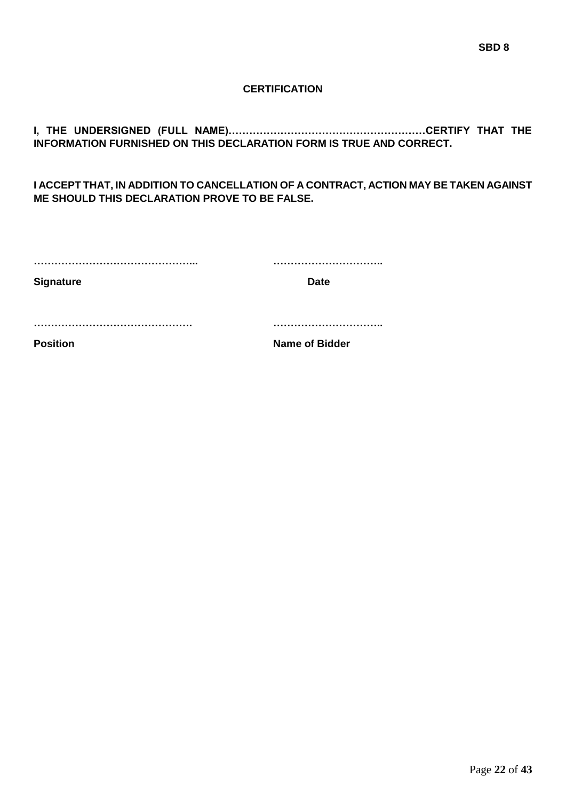## **CERTIFICATION**

**I, THE UNDERSIGNED (FULL NAME)…………………………………………………CERTIFY THAT THE INFORMATION FURNISHED ON THIS DECLARATION FORM IS TRUE AND CORRECT.**

**I ACCEPT THAT, IN ADDITION TO CANCELLATION OF A CONTRACT, ACTION MAY BE TAKEN AGAINST ME SHOULD THIS DECLARATION PROVE TO BE FALSE.**

| <b>Signature</b> | <b>Date</b>           |
|------------------|-----------------------|
|                  |                       |
| <b>Position</b>  | <b>Name of Bidder</b> |
|                  |                       |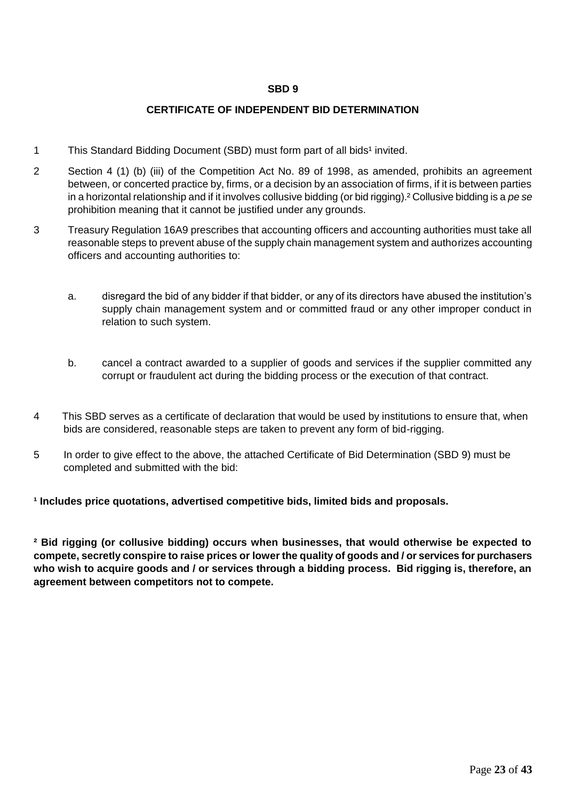## **SBD 9**

## **CERTIFICATE OF INDEPENDENT BID DETERMINATION**

- 1 This Standard Bidding Document (SBD) must form part of all bids<sup>1</sup> invited.
- 2 Section 4 (1) (b) (iii) of the Competition Act No. 89 of 1998, as amended, prohibits an agreement between, or concerted practice by, firms, or a decision by an association of firms, if it is between parties in a horizontal relationship and if it involves collusive bidding (or bid rigging).² Collusive bidding is a *pe se* prohibition meaning that it cannot be justified under any grounds.
- 3 Treasury Regulation 16A9 prescribes that accounting officers and accounting authorities must take all reasonable steps to prevent abuse of the supply chain management system and authorizes accounting officers and accounting authorities to:
	- a. disregard the bid of any bidder if that bidder, or any of its directors have abused the institution's supply chain management system and or committed fraud or any other improper conduct in relation to such system.
	- b. cancel a contract awarded to a supplier of goods and services if the supplier committed any corrupt or fraudulent act during the bidding process or the execution of that contract.
- 4 This SBD serves as a certificate of declaration that would be used by institutions to ensure that, when bids are considered, reasonable steps are taken to prevent any form of bid-rigging.
- 5 In order to give effect to the above, the attached Certificate of Bid Determination (SBD 9) must be completed and submitted with the bid:

**¹ Includes price quotations, advertised competitive bids, limited bids and proposals.**

**² Bid rigging (or collusive bidding) occurs when businesses, that would otherwise be expected to compete, secretly conspire to raise prices or lower the quality of goods and / or services for purchasers who wish to acquire goods and / or services through a bidding process. Bid rigging is, therefore, an agreement between competitors not to compete.**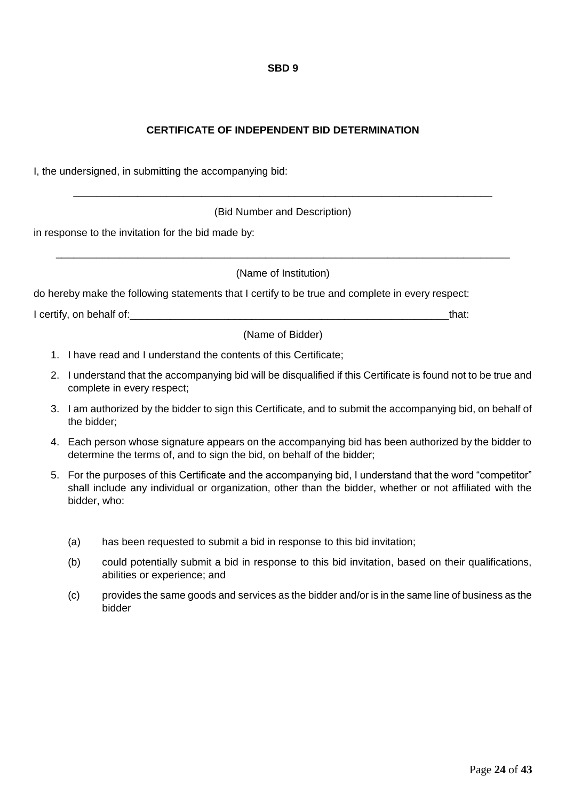## **SBD 9**

# **CERTIFICATE OF INDEPENDENT BID DETERMINATION**

I, the undersigned, in submitting the accompanying bid:

(Bid Number and Description)

\_\_\_\_\_\_\_\_\_\_\_\_\_\_\_\_\_\_\_\_\_\_\_\_\_\_\_\_\_\_\_\_\_\_\_\_\_\_\_\_\_\_\_\_\_\_\_\_\_\_\_\_\_\_\_\_\_\_\_\_\_\_\_\_\_\_\_\_\_\_\_\_

in response to the invitation for the bid made by:

(Name of Institution)

\_\_\_\_\_\_\_\_\_\_\_\_\_\_\_\_\_\_\_\_\_\_\_\_\_\_\_\_\_\_\_\_\_\_\_\_\_\_\_\_\_\_\_\_\_\_\_\_\_\_\_\_\_\_\_\_\_\_\_\_\_\_\_\_\_\_\_\_\_\_\_\_\_\_\_\_\_\_

do hereby make the following statements that I certify to be true and complete in every respect:

I certify, on behalf of:  $\blacksquare$ 

(Name of Bidder)

- 1. I have read and I understand the contents of this Certificate;
- 2. I understand that the accompanying bid will be disqualified if this Certificate is found not to be true and complete in every respect;
- 3. I am authorized by the bidder to sign this Certificate, and to submit the accompanying bid, on behalf of the bidder;
- 4. Each person whose signature appears on the accompanying bid has been authorized by the bidder to determine the terms of, and to sign the bid, on behalf of the bidder;
- 5. For the purposes of this Certificate and the accompanying bid, I understand that the word "competitor" shall include any individual or organization, other than the bidder, whether or not affiliated with the bidder, who:
	- (a) has been requested to submit a bid in response to this bid invitation;
	- (b) could potentially submit a bid in response to this bid invitation, based on their qualifications, abilities or experience; and
	- (c) provides the same goods and services as the bidder and/or is in the same line of business as the bidder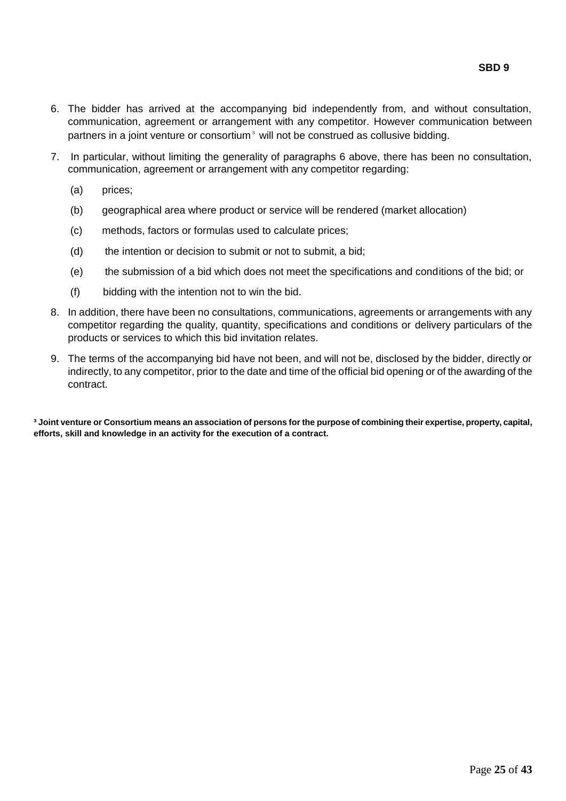- 6. The bidder has arrived at the accompanying bid independently from, and without consultation, communication, agreement or arrangement with any competitor. However communication between partners in a joint venture or consortium $\frac{3}{2}$  will not be construed as collusive bidding.
- 7. In particular, without limiting the generality of paragraphs 6 above, there has been no consultation, communication, agreement or arrangement with any competitor regarding:
	- (a) prices;
	- (b) geographical area where product or service will be rendered (market allocation)
	- (c) methods, factors or formulas used to calculate prices;
	- (d) the intention or decision to submit or not to submit, a bid;
	- (e) the submission of a bid which does not meet the specifications and conditions of the bid; or
	- (f) bidding with the intention not to win the bid.
- 8. In addition, there have been no consultations, communications, agreements or arrangements with any competitor regarding the quality, quantity, specifications and conditions or delivery particulars of the products or services to which this bid invitation relates.
- 9. The terms of the accompanying bid have not been, and will not be, disclosed by the bidder, directly or indirectly, to any competitor, prior to the date and time of the official bid opening or of the awarding of the contract.

**³ Joint venture or Consortium means an association of persons for the purpose of combining their expertise, property, capital, efforts, skill and knowledge in an activity for the execution of a contract.**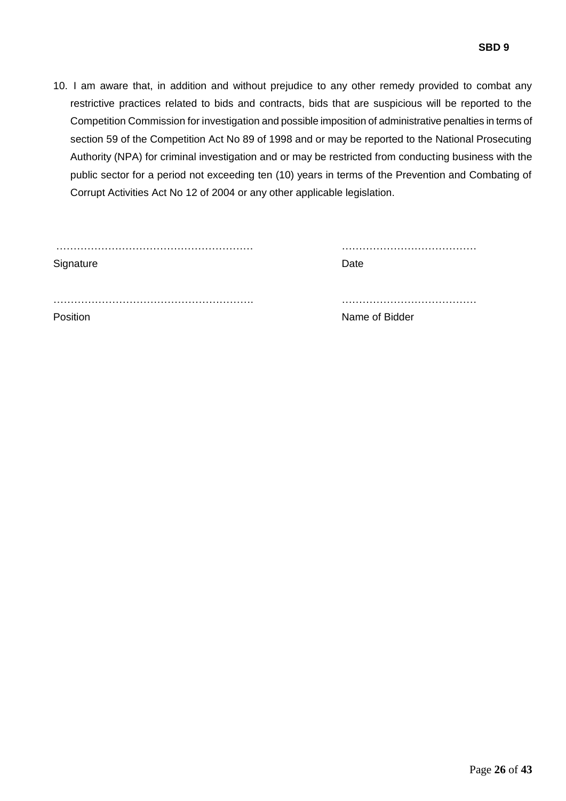10. I am aware that, in addition and without prejudice to any other remedy provided to combat any restrictive practices related to bids and contracts, bids that are suspicious will be reported to the Competition Commission for investigation and possible imposition of administrative penalties in terms of section 59 of the Competition Act No 89 of 1998 and or may be reported to the National Prosecuting Authority (NPA) for criminal investigation and or may be restricted from conducting business with the public sector for a period not exceeding ten (10) years in terms of the Prevention and Combating of Corrupt Activities Act No 12 of 2004 or any other applicable legislation.

| Signature | Date           |
|-----------|----------------|
| Position  | Name of Bidder |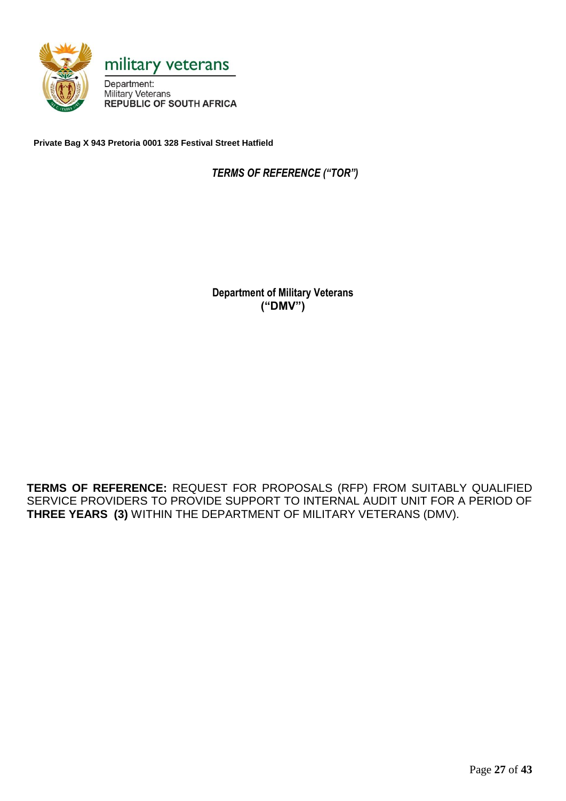

**Private Bag X 943 Pretoria 0001 328 Festival Street Hatfield**

 *TERMS OF REFERENCE ("TOR")*

**Department of Military Veterans ("DMV")**

**TERMS OF REFERENCE:** REQUEST FOR PROPOSALS (RFP) FROM SUITABLY QUALIFIED SERVICE PROVIDERS TO PROVIDE SUPPORT TO INTERNAL AUDIT UNIT FOR A PERIOD OF **THREE YEARS (3)** WITHIN THE DEPARTMENT OF MILITARY VETERANS (DMV).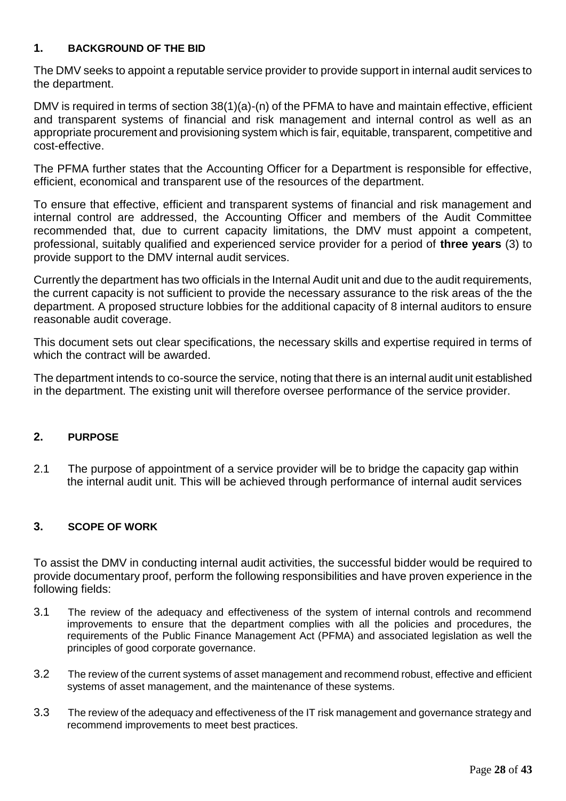# **1. BACKGROUND OF THE BID**

The DMV seeks to appoint a reputable service provider to provide support in internal audit services to the department.

DMV is required in terms of section 38(1)(a)-(n) of the PFMA to have and maintain effective, efficient and transparent systems of financial and risk management and internal control as well as an appropriate procurement and provisioning system which is fair, equitable, transparent, competitive and cost-effective.

The PFMA further states that the Accounting Officer for a Department is responsible for effective, efficient, economical and transparent use of the resources of the department.

To ensure that effective, efficient and transparent systems of financial and risk management and internal control are addressed, the Accounting Officer and members of the Audit Committee recommended that, due to current capacity limitations, the DMV must appoint a competent, professional, suitably qualified and experienced service provider for a period of **three years** (3) to provide support to the DMV internal audit services.

Currently the department has two officials in the Internal Audit unit and due to the audit requirements, the current capacity is not sufficient to provide the necessary assurance to the risk areas of the the department. A proposed structure lobbies for the additional capacity of 8 internal auditors to ensure reasonable audit coverage.

This document sets out clear specifications, the necessary skills and expertise required in terms of which the contract will be awarded.

The department intends to co-source the service, noting that there is an internal audit unit established in the department. The existing unit will therefore oversee performance of the service provider.

# **2. PURPOSE**

2.1 The purpose of appointment of a service provider will be to bridge the capacity gap within the internal audit unit. This will be achieved through performance of internal audit services

# **3. SCOPE OF WORK**

To assist the DMV in conducting internal audit activities, the successful bidder would be required to provide documentary proof, perform the following responsibilities and have proven experience in the following fields:

- 3.1 The review of the adequacy and effectiveness of the system of internal controls and recommend improvements to ensure that the department complies with all the policies and procedures, the requirements of the Public Finance Management Act (PFMA) and associated legislation as well the principles of good corporate governance.
- 3.2 The review of the current systems of asset management and recommend robust, effective and efficient systems of asset management, and the maintenance of these systems.
- 3.3 The review of the adequacy and effectiveness of the IT risk management and governance strategy and recommend improvements to meet best practices.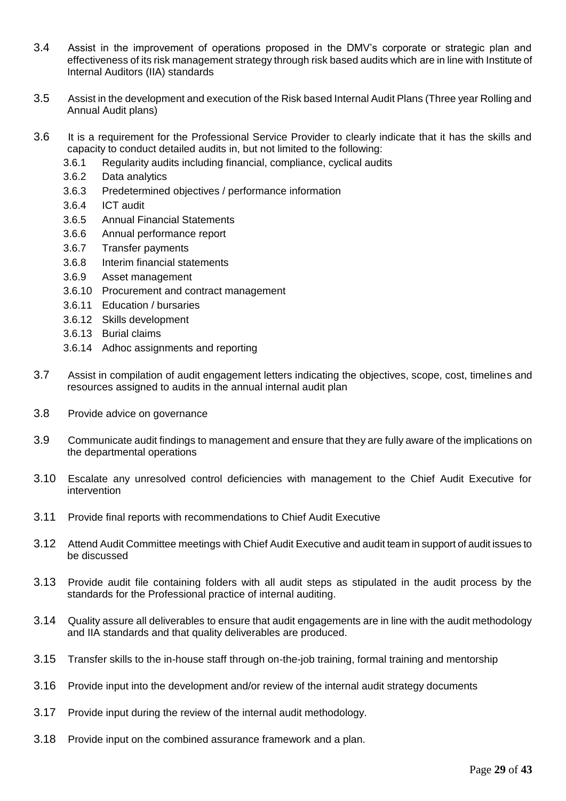- 3.4 Assist in the improvement of operations proposed in the DMV's corporate or strategic plan and effectiveness of its risk management strategy through risk based audits which are in line with Institute of Internal Auditors (IIA) standards
- 3.5 Assist in the development and execution of the Risk based Internal Audit Plans (Three year Rolling and Annual Audit plans)
- 3.6 It is a requirement for the Professional Service Provider to clearly indicate that it has the skills and capacity to conduct detailed audits in, but not limited to the following:
	- 3.6.1 Regularity audits including financial, compliance, cyclical audits
	- 3.6.2 Data analytics
	- 3.6.3 Predetermined objectives / performance information
	- 3.6.4 ICT audit
	- 3.6.5 Annual Financial Statements
	- 3.6.6 Annual performance report
	- 3.6.7 Transfer payments
	- 3.6.8 Interim financial statements
	- 3.6.9 Asset management
	- 3.6.10 Procurement and contract management
	- 3.6.11 Education / bursaries
	- 3.6.12 Skills development
	- 3.6.13 Burial claims
	- 3.6.14 Adhoc assignments and reporting
- 3.7 Assist in compilation of audit engagement letters indicating the objectives, scope, cost, timelines and resources assigned to audits in the annual internal audit plan
- 3.8 Provide advice on governance
- 3.9 Communicate audit findings to management and ensure that they are fully aware of the implications on the departmental operations
- 3.10 Escalate any unresolved control deficiencies with management to the Chief Audit Executive for intervention
- 3.11 Provide final reports with recommendations to Chief Audit Executive
- 3.12 Attend Audit Committee meetings with Chief Audit Executive and audit team in support of audit issues to be discussed
- 3.13 Provide audit file containing folders with all audit steps as stipulated in the audit process by the standards for the Professional practice of internal auditing.
- 3.14 Quality assure all deliverables to ensure that audit engagements are in line with the audit methodology and IIA standards and that quality deliverables are produced.
- 3.15 Transfer skills to the in-house staff through on-the-job training, formal training and mentorship
- 3.16 Provide input into the development and/or review of the internal audit strategy documents
- 3.17 Provide input during the review of the internal audit methodology.
- 3.18 Provide input on the combined assurance framework and a plan.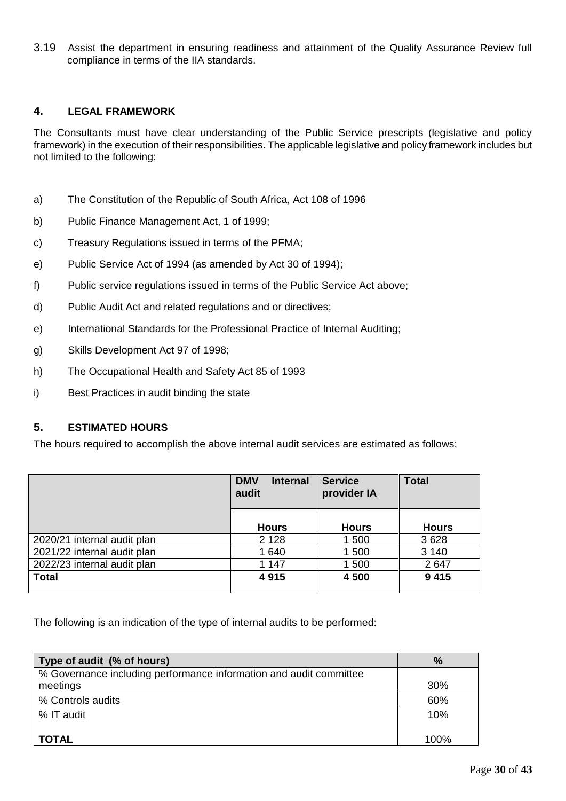3.19 Assist the department in ensuring readiness and attainment of the Quality Assurance Review full compliance in terms of the IIA standards.

#### **4. LEGAL FRAMEWORK**

The Consultants must have clear understanding of the Public Service prescripts (legislative and policy framework) in the execution of their responsibilities. The applicable legislative and policy framework includes but not limited to the following:

- a) The Constitution of the Republic of South Africa, Act 108 of 1996
- b) Public Finance Management Act, 1 of 1999;
- c) Treasury Regulations issued in terms of the PFMA;
- e) Public Service Act of 1994 (as amended by Act 30 of 1994);
- f) Public service regulations issued in terms of the Public Service Act above;
- d) Public Audit Act and related regulations and or directives;
- e) International Standards for the Professional Practice of Internal Auditing;
- g) Skills Development Act 97 of 1998;
- h) The Occupational Health and Safety Act 85 of 1993
- i) Best Practices in audit binding the state

## **5. ESTIMATED HOURS**

The hours required to accomplish the above internal audit services are estimated as follows:

|                             | <b>DMV</b><br><b>Internal</b><br>audit | <b>Service</b><br>provider IA | <b>Total</b> |
|-----------------------------|----------------------------------------|-------------------------------|--------------|
|                             | <b>Hours</b>                           | <b>Hours</b>                  | <b>Hours</b> |
| 2020/21 internal audit plan | 2 1 2 8                                | 1 500                         | 3628         |
| 2021/22 internal audit plan | 1640                                   | 1 500                         | 3 1 4 0      |
| 2022/23 internal audit plan | 1 1 4 7                                | 1 500                         | 2647         |
| <b>Total</b>                | 4915                                   | 4 500                         | 9415         |

The following is an indication of the type of internal audits to be performed:

| Type of audit (% of hours)                                         | $\%$ |
|--------------------------------------------------------------------|------|
| % Governance including performance information and audit committee |      |
| meetings                                                           | 30%  |
| % Controls audits                                                  | 60%  |
| % IT audit                                                         | 10%  |
| <b>TOTAL</b>                                                       | 100% |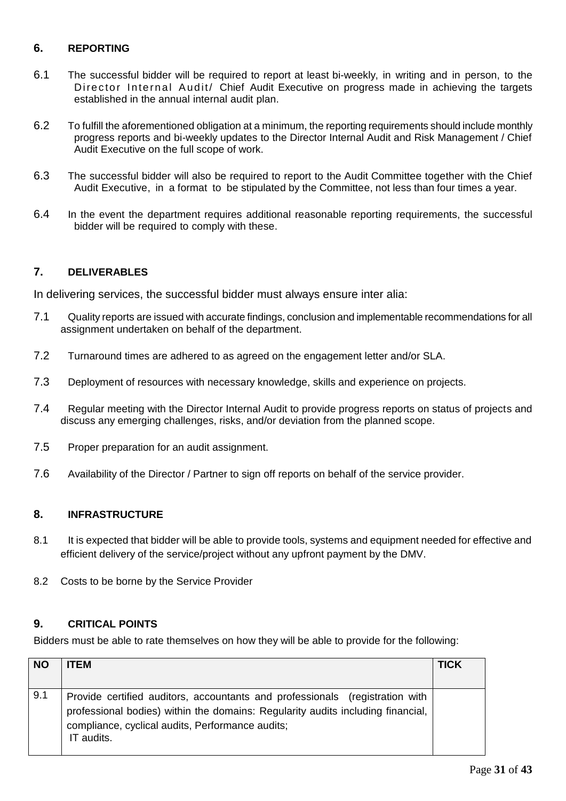# **6. REPORTING**

- 6.1 The successful bidder will be required to report at least bi-weekly, in writing and in person, to the Director Internal Audit/ Chief Audit Executive on progress made in achieving the targets established in the annual internal audit plan.
- 6.2 To fulfill the aforementioned obligation at a minimum, the reporting requirements should include monthly progress reports and bi-weekly updates to the Director Internal Audit and Risk Management / Chief Audit Executive on the full scope of work.
- 6.3 The successful bidder will also be required to report to the Audit Committee together with the Chief Audit Executive, in a format to be stipulated by the Committee, not less than four times a year.
- 6.4 In the event the department requires additional reasonable reporting requirements, the successful bidder will be required to comply with these.

## **7. DELIVERABLES**

In delivering services, the successful bidder must always ensure inter alia:

- 7.1 Quality reports are issued with accurate findings, conclusion and implementable recommendations for all assignment undertaken on behalf of the department.
- 7.2 Turnaround times are adhered to as agreed on the engagement letter and/or SLA.
- 7.3 Deployment of resources with necessary knowledge, skills and experience on projects.
- 7.4 Regular meeting with the Director Internal Audit to provide progress reports on status of projects and discuss any emerging challenges, risks, and/or deviation from the planned scope.
- 7.5 Proper preparation for an audit assignment.
- 7.6 Availability of the Director / Partner to sign off reports on behalf of the service provider.

## **8. INFRASTRUCTURE**

- 8.1 It is expected that bidder will be able to provide tools, systems and equipment needed for effective and efficient delivery of the service/project without any upfront payment by the DMV.
- 8.2 Costs to be borne by the Service Provider

## **9. CRITICAL POINTS**

Bidders must be able to rate themselves on how they will be able to provide for the following:

| <b>NO</b> | <b>ITEM</b>                                                                                                                                                                                                                       | <b>TICK</b> |
|-----------|-----------------------------------------------------------------------------------------------------------------------------------------------------------------------------------------------------------------------------------|-------------|
|           |                                                                                                                                                                                                                                   |             |
| 9.1       | Provide certified auditors, accountants and professionals (registration with<br>professional bodies) within the domains: Regularity audits including financial,<br>compliance, cyclical audits, Performance audits;<br>IT audits. |             |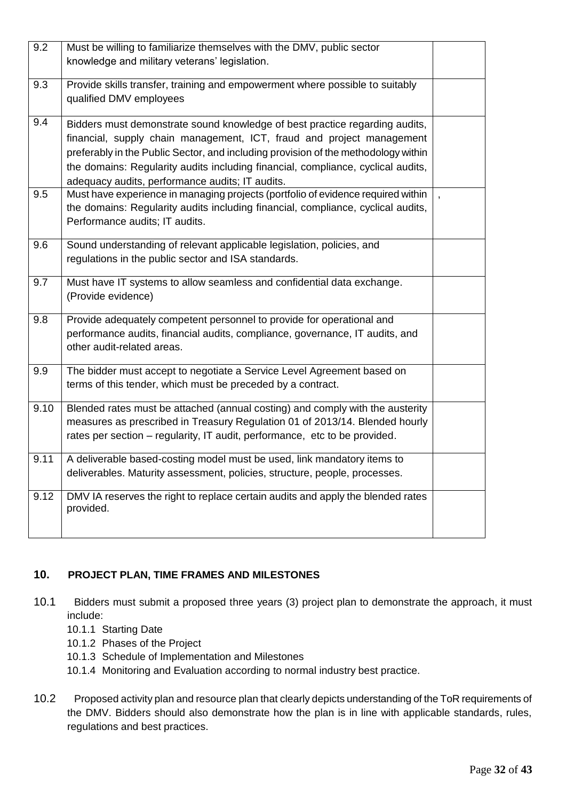| 9.2  | Must be willing to familiarize themselves with the DMV, public sector<br>knowledge and military veterans' legislation.                                                                                                                                                                                                                                                            |                  |
|------|-----------------------------------------------------------------------------------------------------------------------------------------------------------------------------------------------------------------------------------------------------------------------------------------------------------------------------------------------------------------------------------|------------------|
|      |                                                                                                                                                                                                                                                                                                                                                                                   |                  |
| 9.3  | Provide skills transfer, training and empowerment where possible to suitably<br>qualified DMV employees                                                                                                                                                                                                                                                                           |                  |
| 9.4  | Bidders must demonstrate sound knowledge of best practice regarding audits,<br>financial, supply chain management, ICT, fraud and project management<br>preferably in the Public Sector, and including provision of the methodology within<br>the domains: Regularity audits including financial, compliance, cyclical audits,<br>adequacy audits, performance audits; IT audits. |                  |
| 9.5  | Must have experience in managing projects (portfolio of evidence required within<br>the domains: Regularity audits including financial, compliance, cyclical audits,<br>Performance audits; IT audits.                                                                                                                                                                            | $\overline{ }$ , |
| 9.6  | Sound understanding of relevant applicable legislation, policies, and<br>regulations in the public sector and ISA standards.                                                                                                                                                                                                                                                      |                  |
| 9.7  | Must have IT systems to allow seamless and confidential data exchange.<br>(Provide evidence)                                                                                                                                                                                                                                                                                      |                  |
| 9.8  | Provide adequately competent personnel to provide for operational and<br>performance audits, financial audits, compliance, governance, IT audits, and<br>other audit-related areas.                                                                                                                                                                                               |                  |
| 9.9  | The bidder must accept to negotiate a Service Level Agreement based on<br>terms of this tender, which must be preceded by a contract.                                                                                                                                                                                                                                             |                  |
| 9.10 | Blended rates must be attached (annual costing) and comply with the austerity<br>measures as prescribed in Treasury Regulation 01 of 2013/14. Blended hourly<br>rates per section - regularity, IT audit, performance, etc to be provided.                                                                                                                                        |                  |
| 9.11 | A deliverable based-costing model must be used, link mandatory items to<br>deliverables. Maturity assessment, policies, structure, people, processes.                                                                                                                                                                                                                             |                  |
| 9.12 | DMV IA reserves the right to replace certain audits and apply the blended rates<br>provided.                                                                                                                                                                                                                                                                                      |                  |

# **10. PROJECT PLAN, TIME FRAMES AND MILESTONES**

- 10.1 Bidders must submit a proposed three years (3) project plan to demonstrate the approach, it must include:
	- 10.1.1 Starting Date
	- 10.1.2 Phases of the Project
	- 10.1.3 Schedule of Implementation and Milestones
	- 10.1.4 Monitoring and Evaluation according to normal industry best practice.
- 10.2 Proposed activity plan and resource plan that clearly depicts understanding of the ToR requirements of the DMV. Bidders should also demonstrate how the plan is in line with applicable standards, rules, regulations and best practices.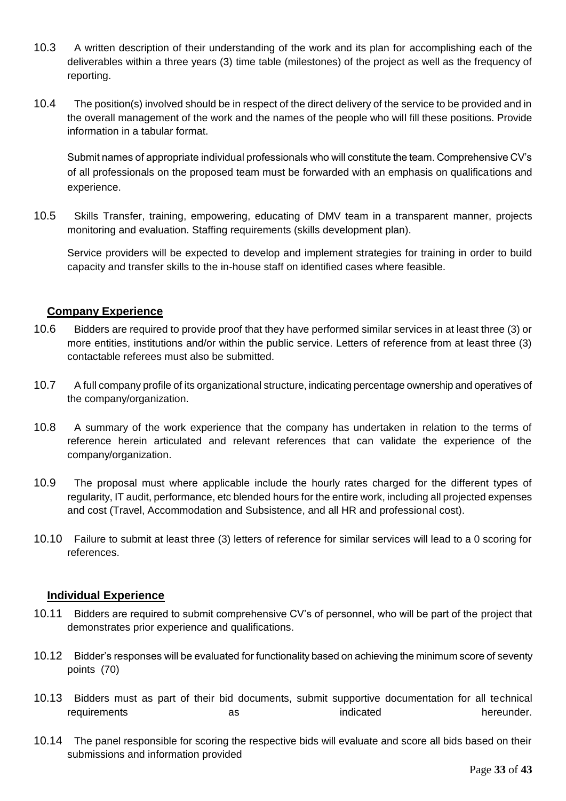- 10.3 A written description of their understanding of the work and its plan for accomplishing each of the deliverables within a three years (3) time table (milestones) of the project as well as the frequency of reporting.
- 10.4 The position(s) involved should be in respect of the direct delivery of the service to be provided and in the overall management of the work and the names of the people who will fill these positions. Provide information in a tabular format.

Submit names of appropriate individual professionals who will constitute the team. Comprehensive CV's of all professionals on the proposed team must be forwarded with an emphasis on qualifications and experience.

10.5 Skills Transfer, training, empowering, educating of DMV team in a transparent manner, projects monitoring and evaluation. Staffing requirements (skills development plan).

Service providers will be expected to develop and implement strategies for training in order to build capacity and transfer skills to the in-house staff on identified cases where feasible.

# **Company Experience**

- 10.6 Bidders are required to provide proof that they have performed similar services in at least three (3) or more entities, institutions and/or within the public service. Letters of reference from at least three (3) contactable referees must also be submitted.
- 10.7 A full company profile of its organizational structure, indicating percentage ownership and operatives of the company/organization.
- 10.8 A summary of the work experience that the company has undertaken in relation to the terms of reference herein articulated and relevant references that can validate the experience of the company/organization.
- 10.9 The proposal must where applicable include the hourly rates charged for the different types of regularity, IT audit, performance, etc blended hours for the entire work, including all projected expenses and cost (Travel, Accommodation and Subsistence, and all HR and professional cost).
- 10.10 Failure to submit at least three (3) letters of reference for similar services will lead to a 0 scoring for references.

## **Individual Experience**

- 10.11 Bidders are required to submit comprehensive CV's of personnel, who will be part of the project that demonstrates prior experience and qualifications.
- 10.12 Bidder's responses will be evaluated for functionality based on achieving the minimum score of seventy points (70)
- 10.13 Bidders must as part of their bid documents, submit supportive documentation for all technical requirements as as the indicated hereunder.
- 10.14 The panel responsible for scoring the respective bids will evaluate and score all bids based on their submissions and information provided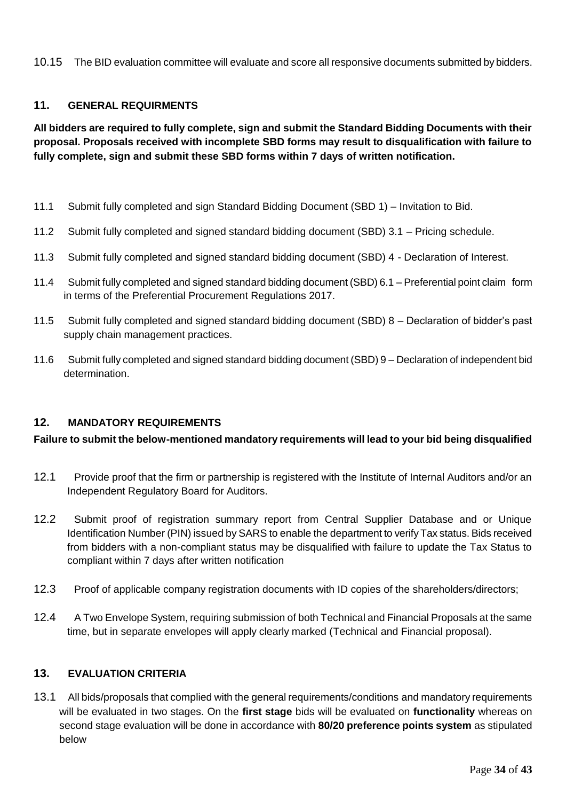10.15 The BID evaluation committee will evaluate and score all responsive documents submitted by bidders.

## **11. GENERAL REQUIRMENTS**

**All bidders are required to fully complete, sign and submit the Standard Bidding Documents with their proposal. Proposals received with incomplete SBD forms may result to disqualification with failure to fully complete, sign and submit these SBD forms within 7 days of written notification.**

- 11.1 Submit fully completed and sign Standard Bidding Document (SBD 1) Invitation to Bid.
- 11.2 Submit fully completed and signed standard bidding document (SBD) 3.1 Pricing schedule.
- 11.3 Submit fully completed and signed standard bidding document (SBD) 4 Declaration of Interest.
- 11.4 Submit fully completed and signed standard bidding document (SBD) 6.1 Preferential point claim form in terms of the Preferential Procurement Regulations 2017.
- 11.5 Submit fully completed and signed standard bidding document (SBD) 8 Declaration of bidder's past supply chain management practices.
- 11.6 Submit fully completed and signed standard bidding document (SBD) 9 Declaration of independent bid determination.

## **12. MANDATORY REQUIREMENTS**

## **Failure to submit the below-mentioned mandatory requirements will lead to your bid being disqualified**

- 12.1 Provide proof that the firm or partnership is registered with the Institute of Internal Auditors and/or an Independent Regulatory Board for Auditors.
- 12.2 Submit proof of registration summary report from Central Supplier Database and or Unique Identification Number (PIN) issued by SARS to enable the department to verify Tax status. Bids received from bidders with a non-compliant status may be disqualified with failure to update the Tax Status to compliant within 7 days after written notification
- 12.3 Proof of applicable company registration documents with ID copies of the shareholders/directors;
- 12.4 A Two Envelope System, requiring submission of both Technical and Financial Proposals at the same time, but in separate envelopes will apply clearly marked (Technical and Financial proposal).

#### **13. EVALUATION CRITERIA**

13.1 All bids/proposals that complied with the general requirements/conditions and mandatory requirements will be evaluated in two stages. On the **first stage** bids will be evaluated on **functionality** whereas on second stage evaluation will be done in accordance with **80/20 preference points system** as stipulated below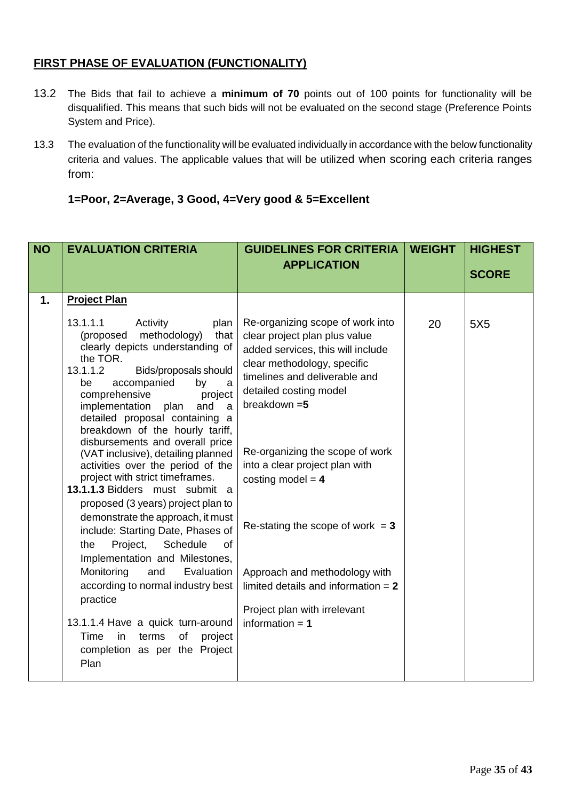# **FIRST PHASE OF EVALUATION (FUNCTIONALITY)**

- 13.2 The Bids that fail to achieve a **minimum of 70** points out of 100 points for functionality will be disqualified. This means that such bids will not be evaluated on the second stage (Preference Points System and Price).
- 13.3 The evaluation of the functionality will be evaluated individually in accordance with the below functionality criteria and values. The applicable values that will be utilized when scoring each criteria ranges from:

**1=Poor, 2=Average, 3 Good, 4=Very good & 5=Excellent**

| <b>NO</b>     | <b>EVALUATION CRITERIA</b>                                                                                                                                                                                                                                                                                                                                                                                                                                                  | <b>GUIDELINES FOR CRITERIA</b>                                                                                                                                                                                                                                                                                 | <b>WEIGHT</b> | <b>HIGHEST</b>  |
|---------------|-----------------------------------------------------------------------------------------------------------------------------------------------------------------------------------------------------------------------------------------------------------------------------------------------------------------------------------------------------------------------------------------------------------------------------------------------------------------------------|----------------------------------------------------------------------------------------------------------------------------------------------------------------------------------------------------------------------------------------------------------------------------------------------------------------|---------------|-----------------|
|               |                                                                                                                                                                                                                                                                                                                                                                                                                                                                             | <b>APPLICATION</b>                                                                                                                                                                                                                                                                                             |               | <b>SCORE</b>    |
|               |                                                                                                                                                                                                                                                                                                                                                                                                                                                                             |                                                                                                                                                                                                                                                                                                                |               |                 |
| $\mathbf 1$ . | <b>Project Plan</b>                                                                                                                                                                                                                                                                                                                                                                                                                                                         |                                                                                                                                                                                                                                                                                                                |               |                 |
|               | 13.1.1.1<br>Activity<br>plan<br>methodology)<br>(proposed<br>that<br>clearly depicts understanding of<br>the TOR.<br>13.1.1.2<br>Bids/proposals should<br>accompanied<br>by<br>be<br>a<br>comprehensive<br>project<br>implementation plan<br>and<br>a<br>detailed proposal containing a<br>breakdown of the hourly tariff,<br>disbursements and overall price<br>(VAT inclusive), detailing planned<br>activities over the period of the<br>project with strict timeframes. | Re-organizing scope of work into<br>clear project plan plus value<br>added services, this will include<br>clear methodology, specific<br>timelines and deliverable and<br>detailed costing model<br>breakdown $=5$<br>Re-organizing the scope of work<br>into a clear project plan with<br>costing model = $4$ | 20            | 5X <sub>5</sub> |
|               | 13.1.1.3 Bidders must submit a<br>proposed (3 years) project plan to<br>demonstrate the approach, it must<br>include: Starting Date, Phases of<br>Project,<br>Schedule<br>the<br>of<br>Implementation and Milestones,<br>and<br>Evaluation<br>Monitoring<br>according to normal industry best<br>practice<br>13.1.1.4 Have a quick turn-around<br>in<br>terms<br>of<br>Time<br>project<br>completion as per the Project<br>Plan                                             | Re-stating the scope of work $= 3$<br>Approach and methodology with<br>limited details and information $= 2$<br>Project plan with irrelevant<br>information $= 1$                                                                                                                                              |               |                 |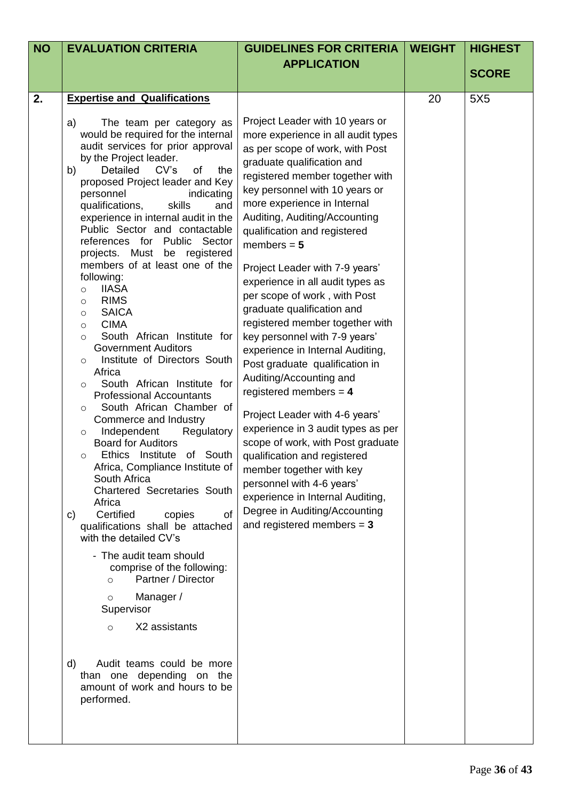| <b>NO</b> | <b>EVALUATION CRITERIA</b>                                                                                                                                                                                                                                                                                                                                                                                                                                                                                                                                                                                                                                                                                                                                                                                                                                                                                                                                                                                                                                                                                                                                                                                                                                                                                                                                                                                                                                                                    | <b>GUIDELINES FOR CRITERIA</b>                                                                                                                                                                                                                                                                                                                                                                                                                                                                                                                                                                                                                                                                                                                                                                                                                                                                                                                                               | <b>WEIGHT</b> | <b>HIGHEST</b>  |
|-----------|-----------------------------------------------------------------------------------------------------------------------------------------------------------------------------------------------------------------------------------------------------------------------------------------------------------------------------------------------------------------------------------------------------------------------------------------------------------------------------------------------------------------------------------------------------------------------------------------------------------------------------------------------------------------------------------------------------------------------------------------------------------------------------------------------------------------------------------------------------------------------------------------------------------------------------------------------------------------------------------------------------------------------------------------------------------------------------------------------------------------------------------------------------------------------------------------------------------------------------------------------------------------------------------------------------------------------------------------------------------------------------------------------------------------------------------------------------------------------------------------------|------------------------------------------------------------------------------------------------------------------------------------------------------------------------------------------------------------------------------------------------------------------------------------------------------------------------------------------------------------------------------------------------------------------------------------------------------------------------------------------------------------------------------------------------------------------------------------------------------------------------------------------------------------------------------------------------------------------------------------------------------------------------------------------------------------------------------------------------------------------------------------------------------------------------------------------------------------------------------|---------------|-----------------|
|           |                                                                                                                                                                                                                                                                                                                                                                                                                                                                                                                                                                                                                                                                                                                                                                                                                                                                                                                                                                                                                                                                                                                                                                                                                                                                                                                                                                                                                                                                                               | <b>APPLICATION</b>                                                                                                                                                                                                                                                                                                                                                                                                                                                                                                                                                                                                                                                                                                                                                                                                                                                                                                                                                           |               | <b>SCORE</b>    |
|           |                                                                                                                                                                                                                                                                                                                                                                                                                                                                                                                                                                                                                                                                                                                                                                                                                                                                                                                                                                                                                                                                                                                                                                                                                                                                                                                                                                                                                                                                                               |                                                                                                                                                                                                                                                                                                                                                                                                                                                                                                                                                                                                                                                                                                                                                                                                                                                                                                                                                                              |               |                 |
| 2.        | <b>Expertise and Qualifications</b><br>The team per category as<br>a)<br>would be required for the internal<br>audit services for prior approval<br>by the Project leader.<br>Detailed<br>CV's<br>of<br>b)<br>the<br>proposed Project leader and Key<br>personnel<br>indicating<br>qualifications,<br>skills<br>and<br>experience in internal audit in the<br>Public Sector and contactable<br>references for Public Sector<br>projects. Must be registered<br>members of at least one of the<br>following:<br><b>IIASA</b><br>$\circ$<br><b>RIMS</b><br>$\circ$<br><b>SAICA</b><br>$\circ$<br><b>CIMA</b><br>$\circ$<br>South African Institute for<br>$\Omega$<br><b>Government Auditors</b><br>Institute of Directors South<br>$\circ$<br>Africa<br>South African Institute for<br>$\circ$<br><b>Professional Accountants</b><br>South African Chamber of<br>$\circ$<br>Commerce and Industry<br>Independent<br>Regulatory<br>$\circ$<br><b>Board for Auditors</b><br>Ethics Institute of South<br>$\circ$<br>Africa, Compliance Institute of<br>South Africa<br><b>Chartered Secretaries South</b><br>Africa<br>Certified<br>copies<br>of<br>C)<br>qualifications shall be attached<br>with the detailed CV's<br>- The audit team should<br>comprise of the following:<br>Partner / Director<br>$\circ$<br>Manager /<br>$\circ$<br>Supervisor<br>X2 assistants<br>$\circ$<br>Audit teams could be more<br>d)<br>than one depending on the<br>amount of work and hours to be<br>performed. | Project Leader with 10 years or<br>more experience in all audit types<br>as per scope of work, with Post<br>graduate qualification and<br>registered member together with<br>key personnel with 10 years or<br>more experience in Internal<br>Auditing, Auditing/Accounting<br>qualification and registered<br>members $= 5$<br>Project Leader with 7-9 years'<br>experience in all audit types as<br>per scope of work, with Post<br>graduate qualification and<br>registered member together with<br>key personnel with 7-9 years'<br>experience in Internal Auditing,<br>Post graduate qualification in<br>Auditing/Accounting and<br>registered members $= 4$<br>Project Leader with 4-6 years'<br>experience in 3 audit types as per<br>scope of work, with Post graduate<br>qualification and registered<br>member together with key<br>personnel with 4-6 years'<br>experience in Internal Auditing,<br>Degree in Auditing/Accounting<br>and registered members $= 3$ | 20            | 5X <sub>5</sub> |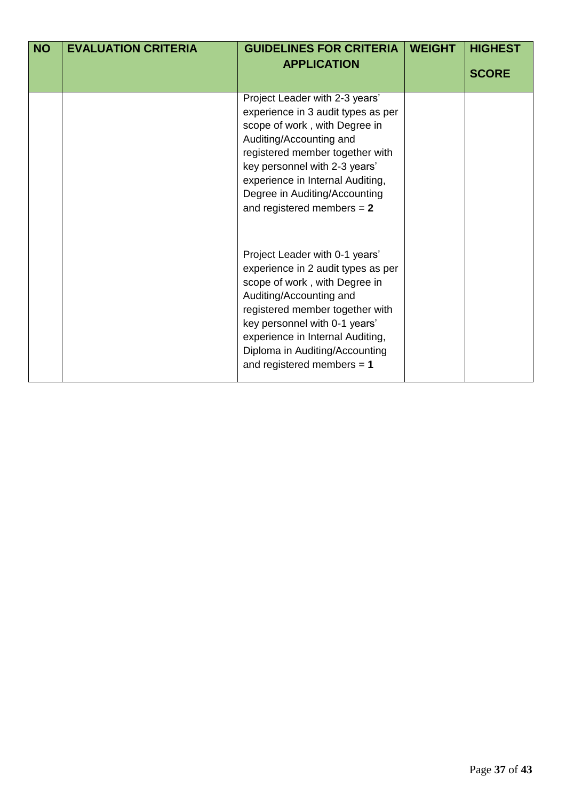| <b>NO</b> | <b>EVALUATION CRITERIA</b> | <b>GUIDELINES FOR CRITERIA</b><br><b>APPLICATION</b>                                                                                                                                                                                                                                                       | <b>WEIGHT</b> | <b>HIGHEST</b><br><b>SCORE</b> |
|-----------|----------------------------|------------------------------------------------------------------------------------------------------------------------------------------------------------------------------------------------------------------------------------------------------------------------------------------------------------|---------------|--------------------------------|
|           |                            | Project Leader with 2-3 years'<br>experience in 3 audit types as per<br>scope of work, with Degree in<br>Auditing/Accounting and<br>registered member together with<br>key personnel with 2-3 years'<br>experience in Internal Auditing,<br>Degree in Auditing/Accounting<br>and registered members $= 2$  |               |                                |
|           |                            | Project Leader with 0-1 years'<br>experience in 2 audit types as per<br>scope of work, with Degree in<br>Auditing/Accounting and<br>registered member together with<br>key personnel with 0-1 years'<br>experience in Internal Auditing,<br>Diploma in Auditing/Accounting<br>and registered members $= 1$ |               |                                |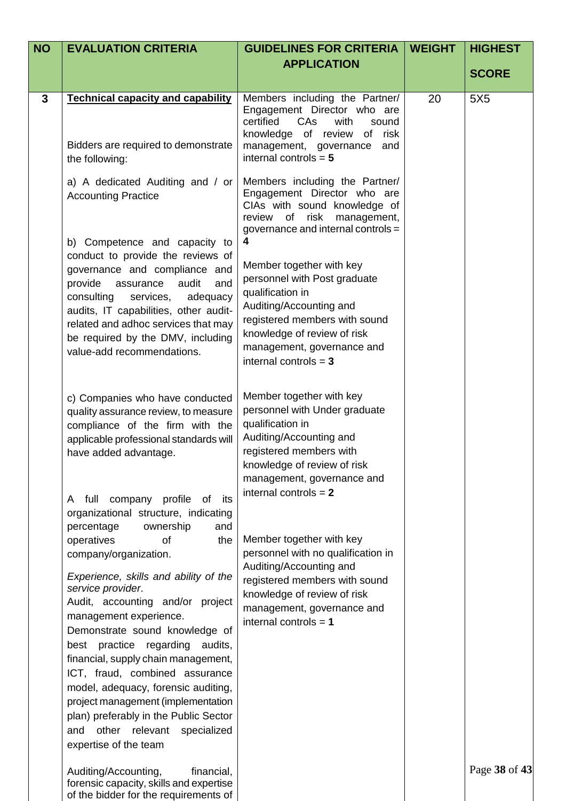| <b>NO</b> | <b>EVALUATION CRITERIA</b>                                                                                                                                                                                                                                                                                                                                                                                                                                                                                                                                                                                                      | <b>GUIDELINES FOR CRITERIA</b>                                                                                                                                                                                                                | <b>WEIGHT</b> | <b>HIGHEST</b>  |
|-----------|---------------------------------------------------------------------------------------------------------------------------------------------------------------------------------------------------------------------------------------------------------------------------------------------------------------------------------------------------------------------------------------------------------------------------------------------------------------------------------------------------------------------------------------------------------------------------------------------------------------------------------|-----------------------------------------------------------------------------------------------------------------------------------------------------------------------------------------------------------------------------------------------|---------------|-----------------|
|           |                                                                                                                                                                                                                                                                                                                                                                                                                                                                                                                                                                                                                                 | <b>APPLICATION</b>                                                                                                                                                                                                                            |               | <b>SCORE</b>    |
| 3         | <b>Technical capacity and capability</b><br>Bidders are required to demonstrate<br>the following:                                                                                                                                                                                                                                                                                                                                                                                                                                                                                                                               | Members including the Partner/<br>Engagement Director who are<br>certified<br>with<br>CAs<br>sound<br>risk<br>knowledge of review<br>of<br>management, governance<br>and<br>internal controls = $5$                                           | 20            | 5X <sub>5</sub> |
|           | a) A dedicated Auditing and / or<br><b>Accounting Practice</b>                                                                                                                                                                                                                                                                                                                                                                                                                                                                                                                                                                  | Members including the Partner/<br>Engagement Director who are<br>CIAs with sound knowledge of<br>review of risk management,<br>governance and internal controls =                                                                             |               |                 |
|           | b) Competence and capacity to<br>conduct to provide the reviews of<br>governance and compliance and<br>provide<br>audit<br>assurance<br>and<br>consulting<br>services,<br>adequacy<br>audits, IT capabilities, other audit-<br>related and adhoc services that may<br>be required by the DMV, including<br>value-add recommendations.                                                                                                                                                                                                                                                                                           | 4<br>Member together with key<br>personnel with Post graduate<br>qualification in<br>Auditing/Accounting and<br>registered members with sound<br>knowledge of review of risk<br>management, governance and<br>internal controls $=$ 3         |               |                 |
|           | c) Companies who have conducted<br>quality assurance review, to measure<br>compliance of the firm with the<br>applicable professional standards will<br>have added advantage.                                                                                                                                                                                                                                                                                                                                                                                                                                                   | Member together with key<br>personnel with Under graduate<br>qualification in<br>Auditing/Accounting and<br>registered members with<br>knowledge of review of risk<br>management, governance and                                              |               |                 |
|           | A full company<br>profile<br>its<br>of<br>organizational structure, indicating<br>percentage<br>ownership<br>and<br>operatives<br>of<br>the<br>company/organization.<br>Experience, skills and ability of the<br>service provider.<br>Audit, accounting and/or project<br>management experience.<br>Demonstrate sound knowledge of<br>best practice regarding audits,<br>financial, supply chain management,<br>ICT, fraud, combined assurance<br>model, adequacy, forensic auditing,<br>project management (implementation<br>plan) preferably in the Public Sector<br>and other relevant specialized<br>expertise of the team | internal controls $= 2$<br>Member together with key<br>personnel with no qualification in<br>Auditing/Accounting and<br>registered members with sound<br>knowledge of review of risk<br>management, governance and<br>internal controls $= 1$ |               |                 |
|           | Auditing/Accounting,<br>financial,<br>forensic capacity, skills and expertise                                                                                                                                                                                                                                                                                                                                                                                                                                                                                                                                                   |                                                                                                                                                                                                                                               |               | Page 38 of 43   |

of the bidder for the requirements of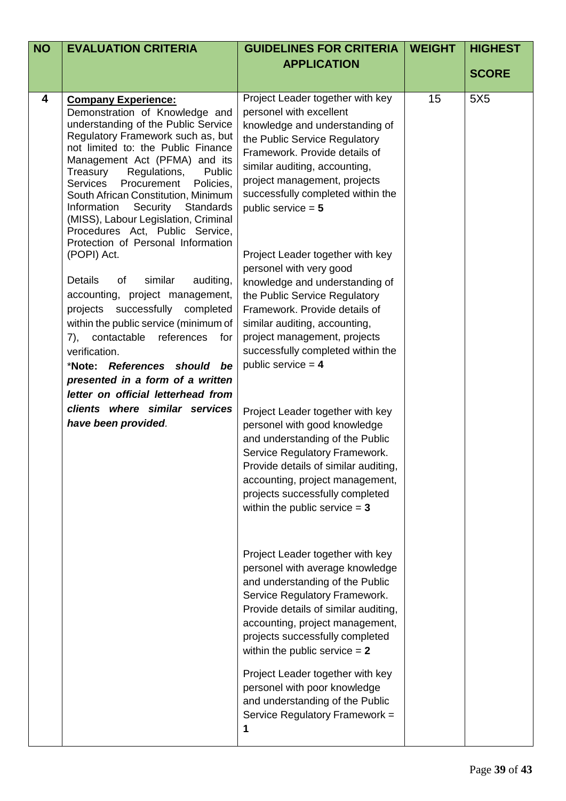| <b>NO</b> | <b>EVALUATION CRITERIA</b>                                                                                                                                                                                                                                                                                                                                                                                                                                                                        | <b>GUIDELINES FOR CRITERIA</b>                                                                                                                                                                                                                                                                                                                                                                       | <b>WEIGHT</b> | <b>HIGHEST</b>  |
|-----------|---------------------------------------------------------------------------------------------------------------------------------------------------------------------------------------------------------------------------------------------------------------------------------------------------------------------------------------------------------------------------------------------------------------------------------------------------------------------------------------------------|------------------------------------------------------------------------------------------------------------------------------------------------------------------------------------------------------------------------------------------------------------------------------------------------------------------------------------------------------------------------------------------------------|---------------|-----------------|
|           |                                                                                                                                                                                                                                                                                                                                                                                                                                                                                                   | <b>APPLICATION</b>                                                                                                                                                                                                                                                                                                                                                                                   |               | <b>SCORE</b>    |
|           |                                                                                                                                                                                                                                                                                                                                                                                                                                                                                                   |                                                                                                                                                                                                                                                                                                                                                                                                      |               |                 |
| 4         | <b>Company Experience:</b><br>Demonstration of Knowledge and<br>understanding of the Public Service<br>Regulatory Framework such as, but<br>not limited to: the Public Finance<br>Management Act (PFMA) and its<br>Treasury<br>Regulations,<br>Public<br><b>Services</b><br>Procurement<br>Policies,<br>South African Constitution, Minimum<br>Security Standards<br>Information<br>(MISS), Labour Legislation, Criminal<br>Procedures Act, Public Service,<br>Protection of Personal Information | Project Leader together with key<br>personel with excellent<br>knowledge and understanding of<br>the Public Service Regulatory<br>Framework. Provide details of<br>similar auditing, accounting,<br>project management, projects<br>successfully completed within the<br>public service $= 5$                                                                                                        | 15            | 5X <sub>5</sub> |
|           | (POPI) Act.<br>Details<br>similar<br>of<br>auditing,<br>accounting, project management,<br>projects successfully completed<br>within the public service (minimum of<br>contactable<br>references<br>7),<br>for<br>verification.<br>*Note: References should be<br>presented in a form of a written<br>letter on official letterhead from<br>clients where similar services<br>have been provided.                                                                                                 | Project Leader together with key<br>personel with very good<br>knowledge and understanding of<br>the Public Service Regulatory<br>Framework. Provide details of<br>similar auditing, accounting,<br>project management, projects<br>successfully completed within the<br>public service $= 4$<br>Project Leader together with key<br>personel with good knowledge<br>and understanding of the Public |               |                 |
|           |                                                                                                                                                                                                                                                                                                                                                                                                                                                                                                   | Service Regulatory Framework.<br>Provide details of similar auditing,<br>accounting, project management,<br>projects successfully completed<br>within the public service $= 3$<br>Project Leader together with key<br>personel with average knowledge<br>and understanding of the Public<br>Service Regulatory Framework.<br>Provide details of similar auditing,                                    |               |                 |
|           |                                                                                                                                                                                                                                                                                                                                                                                                                                                                                                   | accounting, project management,<br>projects successfully completed<br>within the public service $= 2$<br>Project Leader together with key<br>personel with poor knowledge<br>and understanding of the Public<br>Service Regulatory Framework =<br>1                                                                                                                                                  |               |                 |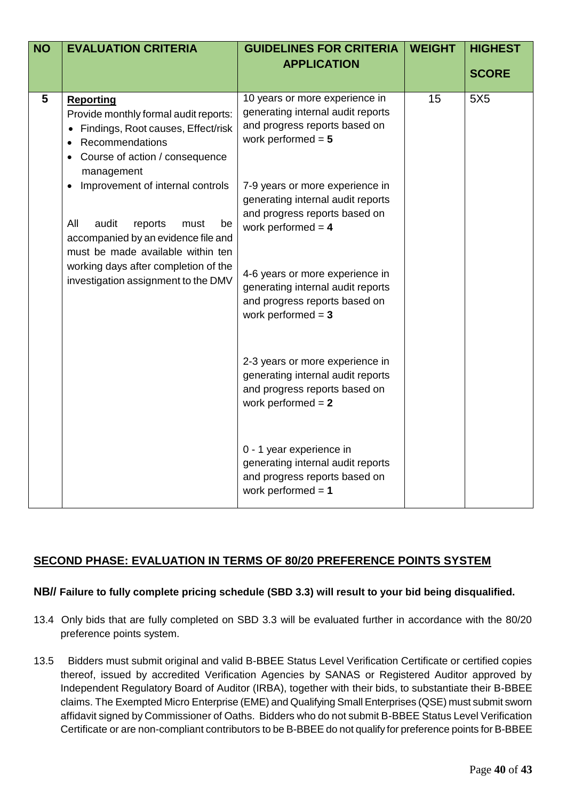| <b>NO</b> | <b>EVALUATION CRITERIA</b>                                                                                                                                           | <b>GUIDELINES FOR CRITERIA</b>                                                                                                | <b>WEIGHT</b> | <b>HIGHEST</b>  |
|-----------|----------------------------------------------------------------------------------------------------------------------------------------------------------------------|-------------------------------------------------------------------------------------------------------------------------------|---------------|-----------------|
|           |                                                                                                                                                                      | <b>APPLICATION</b>                                                                                                            |               | <b>SCORE</b>    |
|           |                                                                                                                                                                      |                                                                                                                               |               |                 |
| 5         | <b>Reporting</b><br>Provide monthly formal audit reports:<br>• Findings, Root causes, Effect/risk<br>Recommendations<br>Course of action / consequence<br>management | 10 years or more experience in<br>generating internal audit reports<br>and progress reports based on<br>work performed $= 5$  | 15            | 5X <sub>5</sub> |
|           | Improvement of internal controls<br>All<br>audit<br>reports<br>must<br>be<br>accompanied by an evidence file and<br>must be made available within ten                | 7-9 years or more experience in<br>generating internal audit reports<br>and progress reports based on<br>work performed $= 4$ |               |                 |
|           | working days after completion of the<br>investigation assignment to the DMV                                                                                          | 4-6 years or more experience in<br>generating internal audit reports<br>and progress reports based on<br>work performed $= 3$ |               |                 |
|           |                                                                                                                                                                      | 2-3 years or more experience in<br>generating internal audit reports<br>and progress reports based on<br>work performed $= 2$ |               |                 |
|           |                                                                                                                                                                      | 0 - 1 year experience in<br>generating internal audit reports<br>and progress reports based on<br>work performed $= 1$        |               |                 |

# **SECOND PHASE: EVALUATION IN TERMS OF 80/20 PREFERENCE POINTS SYSTEM**

# **NB// Failure to fully complete pricing schedule (SBD 3.3) will result to your bid being disqualified.**

- 13.4 Only bids that are fully completed on SBD 3.3 will be evaluated further in accordance with the 80/20 preference points system.
- 13.5 Bidders must submit original and valid B-BBEE Status Level Verification Certificate or certified copies thereof, issued by accredited Verification Agencies by SANAS or Registered Auditor approved by Independent Regulatory Board of Auditor (IRBA), together with their bids, to substantiate their B-BBEE claims. The Exempted Micro Enterprise (EME) and Qualifying Small Enterprises (QSE) must submit sworn affidavit signed by Commissioner of Oaths. Bidders who do not submit B-BBEE Status Level Verification Certificate or are non-compliant contributors to be B-BBEE do not qualify for preference points for B-BBEE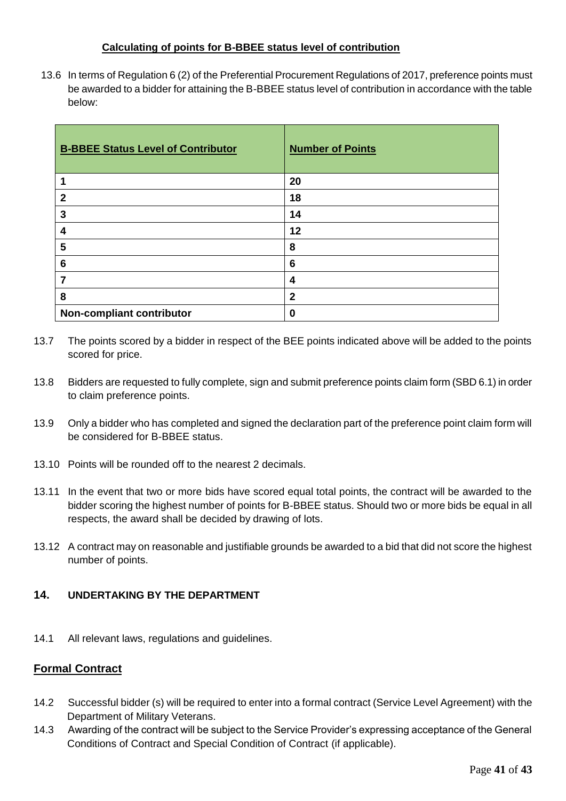## **Calculating of points for B-BBEE status level of contribution**

13.6 In terms of Regulation 6 (2) of the Preferential Procurement Regulations of 2017, preference points must be awarded to a bidder for attaining the B-BBEE status level of contribution in accordance with the table below:

| <b>B-BBEE Status Level of Contributor</b> | <b>Number of Points</b> |
|-------------------------------------------|-------------------------|
|                                           | 20                      |
| $\overline{2}$                            | 18                      |
| 3                                         | 14                      |
| 4                                         | 12                      |
| 5                                         | 8                       |
| 6                                         | 6                       |
| 7                                         | 4                       |
| 8                                         | $\mathbf{2}$            |
| Non-compliant contributor                 | 0                       |

- 13.7 The points scored by a bidder in respect of the BEE points indicated above will be added to the points scored for price.
- 13.8 Bidders are requested to fully complete, sign and submit preference points claim form (SBD 6.1) in order to claim preference points.
- 13.9 Only a bidder who has completed and signed the declaration part of the preference point claim form will be considered for B-BBEE status.
- 13.10 Points will be rounded off to the nearest 2 decimals.
- 13.11 In the event that two or more bids have scored equal total points, the contract will be awarded to the bidder scoring the highest number of points for B-BBEE status. Should two or more bids be equal in all respects, the award shall be decided by drawing of lots.
- 13.12 A contract may on reasonable and justifiable grounds be awarded to a bid that did not score the highest number of points.

## **14. UNDERTAKING BY THE DEPARTMENT**

14.1 All relevant laws, regulations and guidelines.

# **Formal Contract**

- 14.2 Successful bidder (s) will be required to enter into a formal contract (Service Level Agreement) with the Department of Military Veterans.
- 14.3 Awarding of the contract will be subject to the Service Provider's expressing acceptance of the General Conditions of Contract and Special Condition of Contract (if applicable).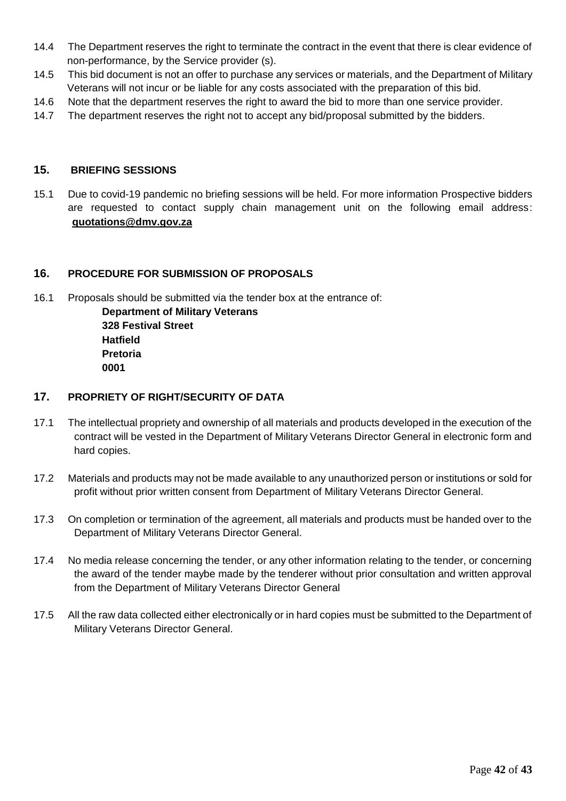- 14.4 The Department reserves the right to terminate the contract in the event that there is clear evidence of non-performance, by the Service provider (s).
- 14.5 This bid document is not an offer to purchase any services or materials, and the Department of Military Veterans will not incur or be liable for any costs associated with the preparation of this bid.
- 14.6 Note that the department reserves the right to award the bid to more than one service provider.
- 14.7 The department reserves the right not to accept any bid/proposal submitted by the bidders.

## **15. BRIEFING SESSIONS**

15.1 Due to covid-19 pandemic no briefing sessions will be held. For more information Prospective bidders are requested to contact supply chain management unit on the following email address: **quotations@dmv.gov.za**

## **16. PROCEDURE FOR SUBMISSION OF PROPOSALS**

16.1 Proposals should be submitted via the tender box at the entrance of:

**Department of Military Veterans 328 Festival Street Hatfield Pretoria 0001**

## **17. PROPRIETY OF RIGHT/SECURITY OF DATA**

- 17.1 The intellectual propriety and ownership of all materials and products developed in the execution of the contract will be vested in the Department of Military Veterans Director General in electronic form and hard copies.
- 17.2 Materials and products may not be made available to any unauthorized person or institutions or sold for profit without prior written consent from Department of Military Veterans Director General.
- 17.3 On completion or termination of the agreement, all materials and products must be handed over to the Department of Military Veterans Director General.
- 17.4 No media release concerning the tender, or any other information relating to the tender, or concerning the award of the tender maybe made by the tenderer without prior consultation and written approval from the Department of Military Veterans Director General
- 17.5 All the raw data collected either electronically or in hard copies must be submitted to the Department of Military Veterans Director General.